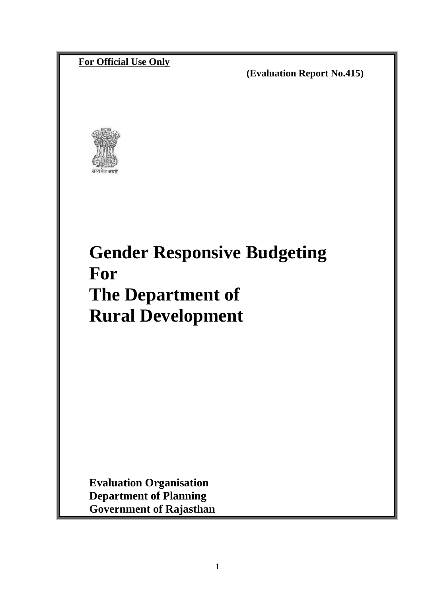# **For Official Use Only**

 **(Evaluation Report No.415)** 



# **Gender Responsive Budgeting For The Department of Rural Development**

**Evaluation Organisation Department of Planning Government of Rajasthan**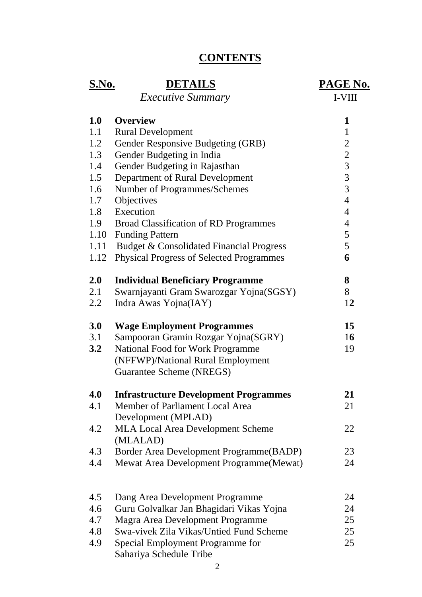# **CONTENTS**

| <u>S.No.</u> | <b>DETAILS</b><br><i><b>Executive Summary</b></i>    | <b>PAGE No.</b><br>I-VIII |
|--------------|------------------------------------------------------|---------------------------|
| 1.0          | <b>Overview</b>                                      | 1                         |
| 1.1          | <b>Rural Development</b>                             | $\mathbf{1}$              |
| 1.2          | Gender Responsive Budgeting (GRB)                    | $\overline{2}$            |
| 1.3          | Gender Budgeting in India                            | $\overline{2}$            |
| 1.4          | Gender Budgeting in Rajasthan                        | $\overline{3}$            |
| 1.5          | Department of Rural Development                      | $\overline{3}$            |
| 1.6          | Number of Programmes/Schemes                         | 3                         |
| 1.7          | Objectives                                           | $\overline{4}$            |
| 1.8          | Execution                                            | $\overline{4}$            |
| 1.9          | <b>Broad Classification of RD Programmes</b>         | $\overline{4}$            |
|              | 1.10 Funding Pattern                                 | 5                         |
|              | 1.11 Budget & Consolidated Financial Progress        | 5                         |
| 1.12         | <b>Physical Progress of Selected Programmes</b>      | 6                         |
| 2.0          | <b>Individual Beneficiary Programme</b>              | 8                         |
| 2.1          | Swarnjayanti Gram Swarozgar Yojna(SGSY)              | 8                         |
| 2.2          | Indra Awas Yojna(IAY)                                | 12                        |
| 3.0          | <b>Wage Employment Programmes</b>                    | 15                        |
| 3.1          | Sampooran Gramin Rozgar Yojna(SGRY)                  | 16                        |
| 3.2          | <b>National Food for Work Programme</b>              | 19                        |
|              | (NFFWP)/National Rural Employment                    |                           |
|              | Guarantee Scheme (NREGS)                             |                           |
| 4.0          | <b>Infrastructure Development Programmes</b>         | 21                        |
| 4.1          | Member of Parliament Local Area                      | 21                        |
|              | Development (MPLAD)                                  |                           |
| 4.2          | <b>MLA Local Area Development Scheme</b><br>(MLALAD) | 22                        |
| 4.3          | Border Area Development Programme (BADP)             | 23                        |
| 4.4          | Mewat Area Development Programme(Mewat)              | 24                        |
|              |                                                      |                           |
| 4.5          | Dang Area Development Programme                      | 24                        |
| 4.6          | Guru Golvalkar Jan Bhagidari Vikas Yojna             | 24                        |
| 4.7          | Magra Area Development Programme                     | 25                        |
| 4.8          | Swa-vivek Zila Vikas/Untied Fund Scheme              | 25                        |
| 4.9          | Special Employment Programme for                     | 25                        |
|              | Sahariya Schedule Tribe                              |                           |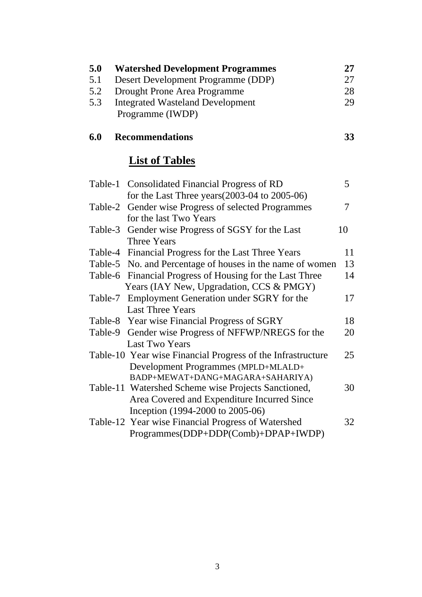| 5.0     | <b>Watershed Development Programmes</b>                     | 27 |
|---------|-------------------------------------------------------------|----|
| 5.1     | Desert Development Programme (DDP)                          | 27 |
| 5.2     | Drought Prone Area Programme                                | 28 |
| 5.3     | <b>Integrated Wasteland Development</b>                     | 29 |
|         | Programme (IWDP)                                            |    |
|         |                                                             |    |
| 6.0     | <b>Recommendations</b>                                      | 33 |
|         | <b>List of Tables</b>                                       |    |
|         | Table-1 Consolidated Financial Progress of RD               | 5  |
|         | for the Last Three years $(2003-04 \text{ to } 2005-06)$    |    |
| Table-2 | Gender wise Progress of selected Programmes                 | 7  |
|         | for the last Two Years                                      |    |
|         | Table-3 Gender wise Progress of SGSY for the Last           | 10 |
|         | Three Years                                                 |    |
|         | Table-4 Financial Progress for the Last Three Years         | 11 |
|         | Table-5 No. and Percentage of houses in the name of women   | 13 |
|         | Table-6 Financial Progress of Housing for the Last Three    | 14 |
|         | Years (IAY New, Upgradation, CCS & PMGY)                    |    |
| Table-7 | Employment Generation under SGRY for the                    | 17 |
|         | <b>Last Three Years</b>                                     |    |
|         | Table-8 Year wise Financial Progress of SGRY                | 18 |
| Table-9 | Gender wise Progress of NFFWP/NREGS for the                 | 20 |
|         | <b>Last Two Years</b>                                       |    |
|         | Table-10 Year wise Financial Progress of the Infrastructure | 25 |
|         | Development Programmes (MPLD+MLALD+                         |    |
|         | BADP+MEWAT+DANG+MAGARA+SAHARIYA)                            |    |
|         | Table-11 Watershed Scheme wise Projects Sanctioned,         | 30 |
|         | Area Covered and Expenditure Incurred Since                 |    |
|         | Inception (1994-2000 to 2005-06)                            |    |
|         | Table-12 Year wise Financial Progress of Watershed          | 32 |
|         | Programmes(DDP+DDP(Comb)+DPAP+IWDP)                         |    |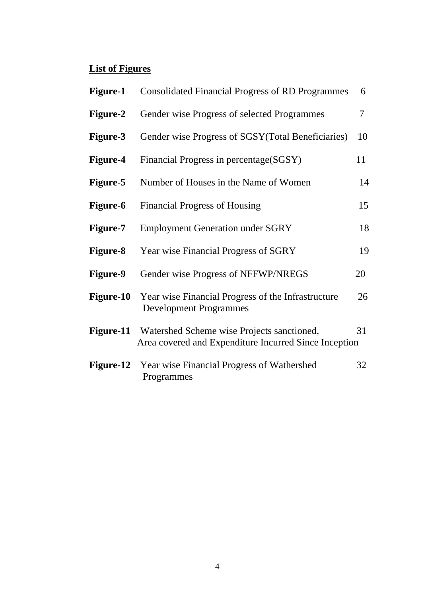# **List of Figures**

| <b>Figure-1</b>  | <b>Consolidated Financial Progress of RD Programmes</b>                                             | 6  |
|------------------|-----------------------------------------------------------------------------------------------------|----|
| Figure-2         | Gender wise Progress of selected Programmes                                                         | 7  |
| <b>Figure-3</b>  | Gender wise Progress of SGSY (Total Beneficiaries)                                                  | 10 |
| Figure-4         | Financial Progress in percentage(SGSY)                                                              | 11 |
| <b>Figure-5</b>  | Number of Houses in the Name of Women                                                               | 14 |
| <b>Figure-6</b>  | <b>Financial Progress of Housing</b>                                                                | 15 |
| <b>Figure-7</b>  | <b>Employment Generation under SGRY</b>                                                             | 18 |
| <b>Figure-8</b>  | Year wise Financial Progress of SGRY                                                                | 19 |
| <b>Figure-9</b>  | Gender wise Progress of NFFWP/NREGS                                                                 | 20 |
| <b>Figure-10</b> | Year wise Financial Progress of the Infrastructure<br><b>Development Programmes</b>                 | 26 |
| Figure-11        | Watershed Scheme wise Projects sanctioned,<br>Area covered and Expenditure Incurred Since Inception | 31 |
| Figure-12        | Year wise Financial Progress of Wathershed<br>Programmes                                            | 32 |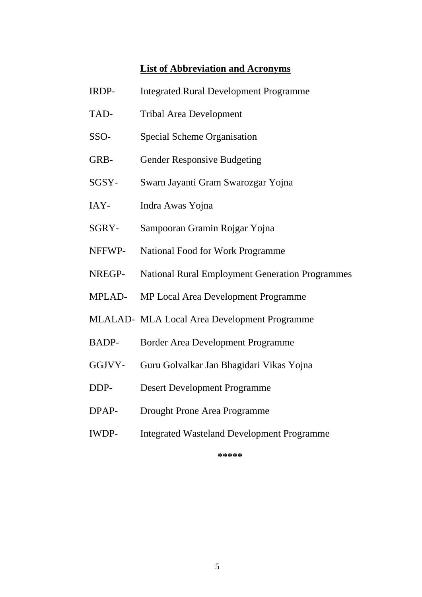#### **List of Abbreviation and Acronyms**

- IRDP- Integrated Rural Development Programme
- TAD- Tribal Area Development
- SSO- Special Scheme Organisation
- GRB- Gender Responsive Budgeting
- SGSY- Swarn Jayanti Gram Swarozgar Yojna
- IAY- Indra Awas Yojna
- SGRY- Sampooran Gramin Rojgar Yojna
- NFFWP- National Food for Work Programme
- NREGP- National Rural Employment Generation Programmes
- MPLAD- MP Local Area Development Programme
- MLALAD- MLA Local Area Development Programme
- BADP- Border Area Development Programme
- GGJVY- Guru Golvalkar Jan Bhagidari Vikas Yojna
- DDP- Desert Development Programme
- DPAP- Drought Prone Area Programme
- IWDP- Integrated Wasteland Development Programme

**\*\*\*\*\***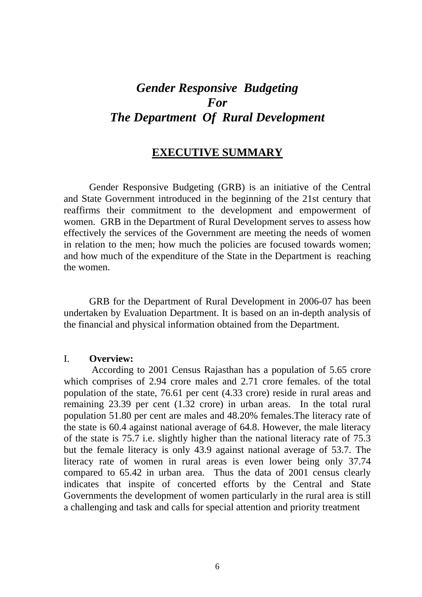# *Gender Responsive Budgeting For The Department Of Rural Development*

# **EXECUTIVE SUMMARY**

 Gender Responsive Budgeting (GRB) is an initiative of the Central and State Government introduced in the beginning of the 21st century that reaffirms their commitment to the development and empowerment of women. GRB in the Department of Rural Development serves to assess how effectively the services of the Government are meeting the needs of women in relation to the men; how much the policies are focused towards women; and how much of the expenditure of the State in the Department is reaching the women.

 GRB for the Department of Rural Development in 2006-07 has been undertaken by Evaluation Department. It is based on an in-depth analysis of the financial and physical information obtained from the Department.

#### I. **Overview:**

According to 2001 Census Rajasthan has a population of 5.65 crore which comprises of 2.94 crore males and 2.71 crore females. of the total population of the state, 76.61 per cent (4.33 crore) reside in rural areas and remaining 23.39 per cent (1.32 crore) in urban areas. In the total rural population 51.80 per cent are males and 48.20% females.The literacy rate of the state is 60.4 against national average of 64.8. However, the male literacy of the state is 75.7 i.e. slightly higher than the national literacy rate of 75.3 but the female literacy is only 43.9 against national average of 53.7. The literacy rate of women in rural areas is even lower being only 37.74 compared to 65.42 in urban area. Thus the data of 2001 census clearly indicates that inspite of concerted efforts by the Central and State Governments the development of women particularly in the rural area is still a challenging and task and calls for special attention and priority treatment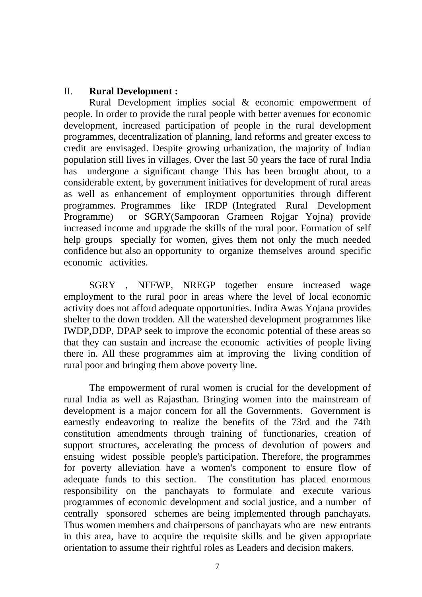#### II. **Rural Development :**

 Rural Development implies social & economic empowerment of people. In order to provide the rural people with better avenues for economic development, increased participation of people in the rural development programmes, decentralization of planning, land reforms and greater excess to credit are envisaged. Despite growing urbanization, the majority of Indian population still lives in villages. Over the last 50 years the face of rural India has undergone a significant change This has been brought about, to a considerable extent, by government initiatives for development of rural areas as well as enhancement of employment opportunities through different programmes. Programmes like IRDP (Integrated Rural Development Programme) or SGRY(Sampooran Grameen Rojgar Yojna) provide increased income and upgrade the skills of the rural poor. Formation of self help groups specially for women, gives them not only the much needed confidence but also an opportunity to organize themselves around specific economic activities.

 SGRY , NFFWP, NREGP together ensure increased wage employment to the rural poor in areas where the level of local economic activity does not afford adequate opportunities. Indira Awas Yojana provides shelter to the down trodden. All the watershed development programmes like IWDP,DDP, DPAP seek to improve the economic potential of these areas so that they can sustain and increase the economic activities of people living there in. All these programmes aim at improving the living condition of rural poor and bringing them above poverty line.

 The empowerment of rural women is crucial for the development of rural India as well as Rajasthan. Bringing women into the mainstream of development is a major concern for all the Governments. Government is earnestly endeavoring to realize the benefits of the 73rd and the 74th constitution amendments through training of functionaries, creation of support structures, accelerating the process of devolution of powers and ensuing widest possible people's participation. Therefore, the programmes for poverty alleviation have a women's component to ensure flow of adequate funds to this section. The constitution has placed enormous responsibility on the panchayats to formulate and execute various programmes of economic development and social justice, and a number of centrally sponsored schemes are being implemented through panchayats. Thus women members and chairpersons of panchayats who are new entrants in this area, have to acquire the requisite skills and be given appropriate orientation to assume their rightful roles as Leaders and decision makers.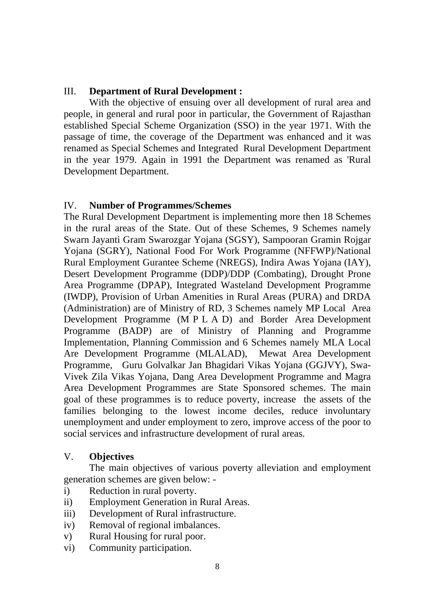# III. **Department of Rural Development :**

 With the objective of ensuing over all development of rural area and people, in general and rural poor in particular, the Government of Rajasthan established Special Scheme Organization (SSO) in the year 1971. With the passage of time, the coverage of the Department was enhanced and it was renamed as Special Schemes and Integrated Rural Development Department in the year 1979. Again in 1991 the Department was renamed as 'Rural Development Department.

# IV. **Number of Programmes/Schemes**

The Rural Development Department is implementing more then 18 Schemes in the rural areas of the State. Out of these Schemes, 9 Schemes namely Swarn Jayanti Gram Swarozgar Yojana (SGSY), Sampooran Gramin Rojgar Yojana (SGRY), National Food For Work Programme (NFFWP)/National Rural Employment Gurantee Scheme (NREGS), Indira Awas Yojana (IAY), Desert Development Programme (DDP)/DDP (Combating), Drought Prone Area Programme (DPAP), Integrated Wasteland Development Programme (IWDP), Provision of Urban Amenities in Rural Areas (PURA) and DRDA (Administration) are of Ministry of RD, 3 Schemes namely MP Local Area Development Programme (M P L A D) and Border Area Development Programme (BADP) are of Ministry of Planning and Programme Implementation, Planning Commission and 6 Schemes namely MLA Local Are Development Programme (MLALAD), Mewat Area Development Programme, Guru Golvalkar Jan Bhagidari Vikas Yojana (GGJVY), Swa-Vivek Zila Vikas Yojana, Dang Area Development Programme and Magra Area Development Programmes are State Sponsored schemes. The main goal of these programmes is to reduce poverty, increase the assets of the families belonging to the lowest income deciles, reduce involuntary unemployment and under employment to zero, improve access of the poor to social services and infrastructure development of rural areas.

# V. **Objectives**

 The main objectives of various poverty alleviation and employment generation schemes are given below: -

- i) Reduction in rural poverty.
- ii) Employment Generation in Rural Areas.
- iii) Development of Rural infrastructure.
- iv) Removal of regional imbalances.
- v) Rural Housing for rural poor.
- vi) Community participation.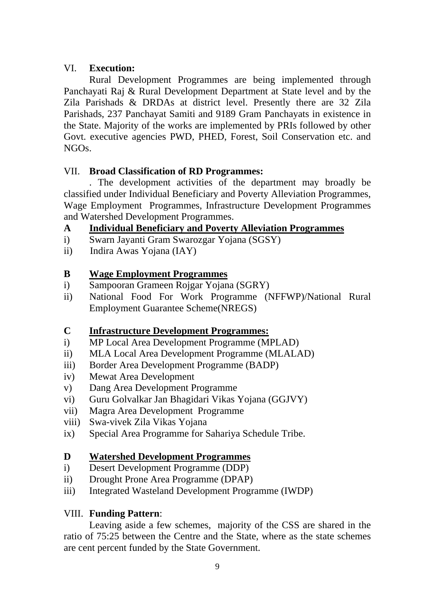# VI. **Execution:**

Rural Development Programmes are being implemented through Panchayati Raj & Rural Development Department at State level and by the Zila Parishads & DRDAs at district level. Presently there are 32 Zila Parishads, 237 Panchayat Samiti and 9189 Gram Panchayats in existence in the State. Majority of the works are implemented by PRIs followed by other Govt. executive agencies PWD, PHED, Forest, Soil Conservation etc. and NGOs.

# VII. **Broad Classification of RD Programmes:**

. The development activities of the department may broadly be classified under Individual Beneficiary and Poverty Alleviation Programmes, Wage Employment Programmes, Infrastructure Development Programmes and Watershed Development Programmes.

# **A Individual Beneficiary and Poverty Alleviation Programmes**

- i) Swarn Jayanti Gram Swarozgar Yojana (SGSY)
- ii) Indira Awas Yojana (IAY)

# **B Wage Employment Programmes**

- i) Sampooran Grameen Rojgar Yojana (SGRY)
- ii) National Food For Work Programme (NFFWP)/National Rural Employment Guarantee Scheme(NREGS)

# **C Infrastructure Development Programmes:**

- i) MP Local Area Development Programme (MPLAD)
- ii) MLA Local Area Development Programme (MLALAD)
- iii) Border Area Development Programme (BADP)
- iv) Mewat Area Development
- v) Dang Area Development Programme
- vi) Guru Golvalkar Jan Bhagidari Vikas Yojana (GGJVY)
- vii) Magra Area Development Programme
- viii) Swa-vivek Zila Vikas Yojana
- ix) Special Area Programme for Sahariya Schedule Tribe.

# **D Watershed Development Programmes**

- i) Desert Development Programme (DDP)
- ii) Drought Prone Area Programme (DPAP)
- iii) Integrated Wasteland Development Programme (IWDP)

# VIII. **Funding Pattern**:

 Leaving aside a few schemes, majority of the CSS are shared in the ratio of 75:25 between the Centre and the State, where as the state schemes are cent percent funded by the State Government.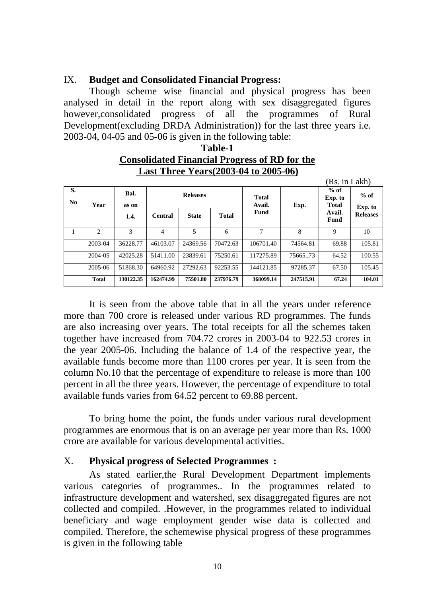#### IX. **Budget and Consolidated Financial Progress:**

 Though scheme wise financial and physical progress has been analysed in detail in the report along with sex disaggregated figures however,consolidated progress of all the programmes of Rural Development(excluding DRDA Administration)) for the last three years i.e. 2003-04, 04-05 and 05-06 is given in the following table:

|     | <b>Consolidated Financial Progress of RD for the</b> |         |
|-----|------------------------------------------------------|---------|
|     | <b>Last Three Years (2003-04 to 2005-06)</b>         |         |
|     |                                                      | (Rs. in |
| י מ |                                                      | $%$ of  |

Lakh)

**Table-1** 

| S.<br>No. | Year                        | Bal.<br>as on |                | <b>Releases</b> |              | <b>Total</b><br>Avail. | Exp.      | $%$ of<br>Exp. to<br><b>Total</b> | $%$ of<br>Exp. to |
|-----------|-----------------------------|---------------|----------------|-----------------|--------------|------------------------|-----------|-----------------------------------|-------------------|
|           |                             | 1.4.          | <b>Central</b> | <b>State</b>    | <b>Total</b> | Fund                   |           | Avail.<br>Fund                    | <b>Releases</b>   |
|           | $\mathcal{D}_{\mathcal{L}}$ | 3             |                | 5               | 6            | 7                      | 8         | 9                                 | 10                |
|           | 2003-04                     | 36228.77      | 46103.07       | 24369.56        | 70472.63     | 106701.40              | 74564.81  | 69.88                             | 105.81            |
|           | 2004-05                     | 42025.28      | 51411.00       | 23839.61        | 75250.61     | 117275.89              | 7566573   | 64.52                             | 100.55            |
|           | 2005-06                     | 51868.30      | 64960.92       | 27292.63        | 92253.55     | 144121.85              | 97285.37  | 67.50                             | 105.45            |
|           | <b>Total</b>                | 130122.35     | 162474.99      | 75501.80        | 237976.79    | 368099.14              | 247515.91 | 67.24                             | 104.01            |

 It is seen from the above table that in all the years under reference more than 700 crore is released under various RD programmes. The funds are also increasing over years. The total receipts for all the schemes taken together have increased from 704.72 crores in 2003-04 to 922.53 crores in the year 2005-06. Including the balance of 1.4 of the respective year, the available funds become more than 1100 crores per year. It is seen from the column No.10 that the percentage of expenditure to release is more than 100 percent in all the three years. However, the percentage of expenditure to total available funds varies from 64.52 percent to 69.88 percent.

To bring home the point, the funds under various rural development programmes are enormous that is on an average per year more than Rs. 1000 crore are available for various developmental activities.

#### X. **Physical progress of Selected Programmes :**

As stated earlier,the Rural Development Department implements various categories of programmes.. In the programmes related to infrastructure development and watershed, sex disaggregated figures are not collected and compiled. .However, in the programmes related to individual beneficiary and wage employment gender wise data is collected and compiled. Therefore, the schemewise physical progress of these programmes is given in the following table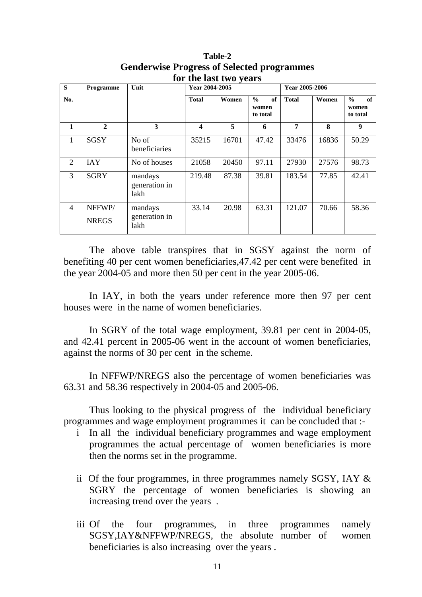| S              | Programme              | Unit                             | Year 2004-2005 |       |                                          | Year 2005-2006 |       |                                          |  |
|----------------|------------------------|----------------------------------|----------------|-------|------------------------------------------|----------------|-------|------------------------------------------|--|
| No.            |                        |                                  | <b>Total</b>   | Women | $\frac{0}{0}$<br>of<br>women<br>to total | <b>Total</b>   | Women | $\frac{0}{0}$<br>of<br>women<br>to total |  |
| 1              | $\mathbf{2}$           | 3                                | 4              | 5     | 6                                        | 7              | 8     | 9                                        |  |
| 1              | <b>SGSY</b>            | No of<br>beneficiaries           | 35215          | 16701 | 47.42                                    | 33476          | 16836 | 50.29                                    |  |
| 2              | <b>IAY</b>             | No of houses                     | 21058          | 20450 | 97.11                                    | 27930          | 27576 | 98.73                                    |  |
| 3              | <b>SGRY</b>            | mandays<br>generation in<br>lakh | 219.48         | 87.38 | 39.81                                    | 183.54         | 77.85 | 42.41                                    |  |
| $\overline{4}$ | NFFWP/<br><b>NREGS</b> | mandays<br>generation in<br>lakh | 33.14          | 20.98 | 63.31                                    | 121.07         | 70.66 | 58.36                                    |  |

**Table-2 Genderwise Progress of Selected programmes for the last two years**

 The above table transpires that in SGSY against the norm of benefiting 40 per cent women beneficiaries,47.42 per cent were benefited in the year 2004-05 and more then 50 per cent in the year 2005-06.

In IAY, in both the years under reference more then 97 per cent houses were in the name of women beneficiaries.

 In SGRY of the total wage employment, 39.81 per cent in 2004-05, and 42.41 percent in 2005-06 went in the account of women beneficiaries, against the norms of 30 per cent in the scheme.

 In NFFWP/NREGS also the percentage of women beneficiaries was 63.31 and 58.36 respectively in 2004-05 and 2005-06.

 Thus looking to the physical progress of the individual beneficiary programmes and wage employment programmes it can be concluded that :-

- i In all the individual beneficiary programmes and wage employment programmes the actual percentage of women beneficiaries is more then the norms set in the programme.
- ii Of the four programmes, in three programmes namely SGSY, IAY & SGRY the percentage of women beneficiaries is showing an increasing trend over the years .
- iii Of the four programmes, in three programmes namely SGSY,IAY&NFFWP/NREGS, the absolute number of women beneficiaries is also increasing over the years .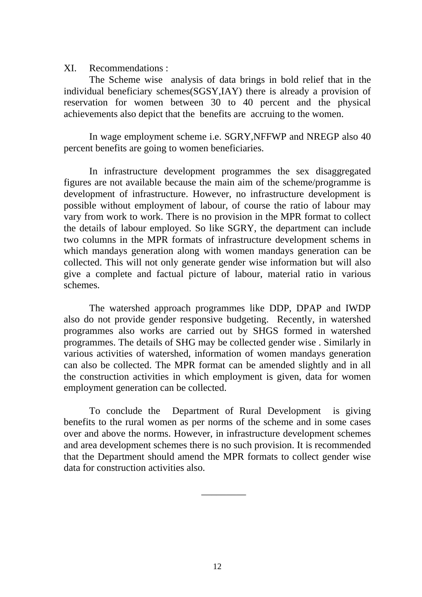XI. Recommendations :

 The Scheme wise analysis of data brings in bold relief that in the individual beneficiary schemes(SGSY,IAY) there is already a provision of reservation for women between 30 to 40 percent and the physical achievements also depict that the benefits are accruing to the women.

 In wage employment scheme i.e. SGRY,NFFWP and NREGP also 40 percent benefits are going to women beneficiaries.

 In infrastructure development programmes the sex disaggregated figures are not available because the main aim of the scheme/programme is development of infrastructure. However, no infrastructure development is possible without employment of labour, of course the ratio of labour may vary from work to work. There is no provision in the MPR format to collect the details of labour employed. So like SGRY, the department can include two columns in the MPR formats of infrastructure development schems in which mandays generation along with women mandays generation can be collected. This will not only generate gender wise information but will also give a complete and factual picture of labour, material ratio in various schemes.

 The watershed approach programmes like DDP, DPAP and IWDP also do not provide gender responsive budgeting. Recently, in watershed programmes also works are carried out by SHGS formed in watershed programmes. The details of SHG may be collected gender wise . Similarly in various activities of watershed, information of women mandays generation can also be collected. The MPR format can be amended slightly and in all the construction activities in which employment is given, data for women employment generation can be collected.

 To conclude the Department of Rural Development is giving benefits to the rural women as per norms of the scheme and in some cases over and above the norms. However, in infrastructure development schemes and area development schemes there is no such provision. It is recommended that the Department should amend the MPR formats to collect gender wise data for construction activities also.

\_\_\_\_\_\_\_\_\_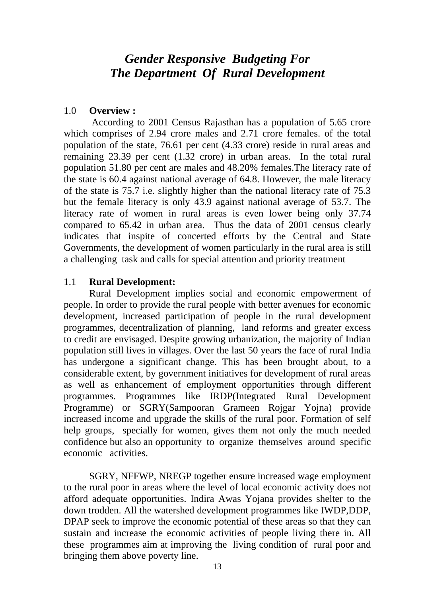# *Gender Responsive Budgeting For The Department Of Rural Development*

#### 1.0 **Overview :**

According to 2001 Census Rajasthan has a population of 5.65 crore which comprises of 2.94 crore males and 2.71 crore females. of the total population of the state, 76.61 per cent (4.33 crore) reside in rural areas and remaining 23.39 per cent (1.32 crore) in urban areas. In the total rural population 51.80 per cent are males and 48.20% females.The literacy rate of the state is 60.4 against national average of 64.8. However, the male literacy of the state is 75.7 i.e. slightly higher than the national literacy rate of 75.3 but the female literacy is only 43.9 against national average of 53.7. The literacy rate of women in rural areas is even lower being only 37.74 compared to 65.42 in urban area. Thus the data of 2001 census clearly indicates that inspite of concerted efforts by the Central and State Governments, the development of women particularly in the rural area is still a challenging task and calls for special attention and priority treatment

#### 1.1 **Rural Development:**

 Rural Development implies social and economic empowerment of people. In order to provide the rural people with better avenues for economic development, increased participation of people in the rural development programmes, decentralization of planning, land reforms and greater excess to credit are envisaged. Despite growing urbanization, the majority of Indian population still lives in villages. Over the last 50 years the face of rural India has undergone a significant change. This has been brought about, to a considerable extent, by government initiatives for development of rural areas as well as enhancement of employment opportunities through different programmes. Programmes like IRDP(Integrated Rural Development Programme) or SGRY(Sampooran Grameen Rojgar Yojna) provide increased income and upgrade the skills of the rural poor. Formation of self help groups, specially for women, gives them not only the much needed confidence but also an opportunity to organize themselves around specific economic activities.

SGRY, NFFWP, NREGP together ensure increased wage employment to the rural poor in areas where the level of local economic activity does not afford adequate opportunities. Indira Awas Yojana provides shelter to the down trodden. All the watershed development programmes like IWDP,DDP, DPAP seek to improve the economic potential of these areas so that they can sustain and increase the economic activities of people living there in. All these programmes aim at improving the living condition of rural poor and bringing them above poverty line.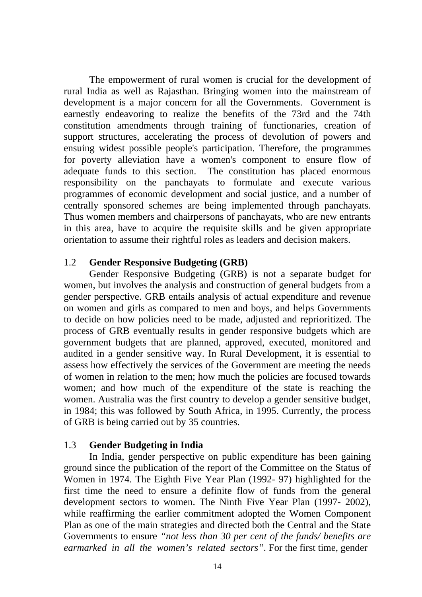The empowerment of rural women is crucial for the development of rural India as well as Rajasthan. Bringing women into the mainstream of development is a major concern for all the Governments. Government is earnestly endeavoring to realize the benefits of the 73rd and the 74th constitution amendments through training of functionaries, creation of support structures, accelerating the process of devolution of powers and ensuing widest possible people's participation. Therefore, the programmes for poverty alleviation have a women's component to ensure flow of adequate funds to this section. The constitution has placed enormous responsibility on the panchayats to formulate and execute various programmes of economic development and social justice, and a number of centrally sponsored schemes are being implemented through panchayats. Thus women members and chairpersons of panchayats, who are new entrants in this area, have to acquire the requisite skills and be given appropriate orientation to assume their rightful roles as leaders and decision makers.

#### 1.2 **Gender Responsive Budgeting (GRB)**

Gender Responsive Budgeting (GRB) is not a separate budget for women, but involves the analysis and construction of general budgets from a gender perspective. GRB entails analysis of actual expenditure and revenue on women and girls as compared to men and boys, and helps Governments to decide on how policies need to be made, adjusted and reprioritized. The process of GRB eventually results in gender responsive budgets which are government budgets that are planned, approved, executed, monitored and audited in a gender sensitive way. In Rural Development, it is essential to assess how effectively the services of the Government are meeting the needs of women in relation to the men; how much the policies are focused towards women; and how much of the expenditure of the state is reaching the women. Australia was the first country to develop a gender sensitive budget, in 1984; this was followed by South Africa, in 1995. Currently, the process of GRB is being carried out by 35 countries.

# 1.3 **Gender Budgeting in India**

 In India, gender perspective on public expenditure has been gaining ground since the publication of the report of the Committee on the Status of Women in 1974. The Eighth Five Year Plan (1992- 97) highlighted for the first time the need to ensure a definite flow of funds from the general development sectors to women. The Ninth Five Year Plan (1997- 2002), while reaffirming the earlier commitment adopted the Women Component Plan as one of the main strategies and directed both the Central and the State Governments to ensure *"not less than 30 per cent of the funds/ benefits are earmarked in all the women's related sectors".* For the first time, gender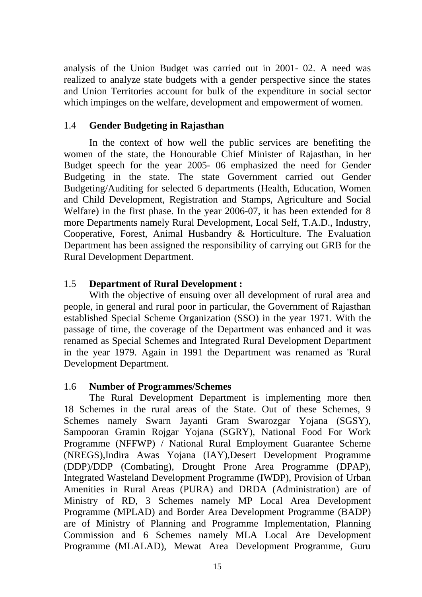analysis of the Union Budget was carried out in 2001- 02. A need was realized to analyze state budgets with a gender perspective since the states and Union Territories account for bulk of the expenditure in social sector which impinges on the welfare, development and empowerment of women.

#### 1.4 **Gender Budgeting in Rajasthan**

 In the context of how well the public services are benefiting the women of the state, the Honourable Chief Minister of Rajasthan, in her Budget speech for the year 2005- 06 emphasized the need for Gender Budgeting in the state. The state Government carried out Gender Budgeting/Auditing for selected 6 departments (Health, Education, Women and Child Development, Registration and Stamps, Agriculture and Social Welfare) in the first phase. In the year 2006-07, it has been extended for 8 more Departments namely Rural Development, Local Self, T.A.D., Industry, Cooperative, Forest, Animal Husbandry & Horticulture. The Evaluation Department has been assigned the responsibility of carrying out GRB for the Rural Development Department.

# 1.5 **Department of Rural Development :**

 With the objective of ensuing over all development of rural area and people, in general and rural poor in particular, the Government of Rajasthan established Special Scheme Organization (SSO) in the year 1971. With the passage of time, the coverage of the Department was enhanced and it was renamed as Special Schemes and Integrated Rural Development Department in the year 1979. Again in 1991 the Department was renamed as 'Rural Development Department.

#### 1.6 **Number of Programmes/Schemes**

The Rural Development Department is implementing more then 18 Schemes in the rural areas of the State. Out of these Schemes, 9 Schemes namely Swarn Jayanti Gram Swarozgar Yojana (SGSY), Sampooran Gramin Rojgar Yojana (SGRY), National Food For Work Programme (NFFWP) / National Rural Employment Guarantee Scheme (NREGS),Indira Awas Yojana (IAY),Desert Development Programme (DDP)/DDP (Combating), Drought Prone Area Programme (DPAP), Integrated Wasteland Development Programme (IWDP), Provision of Urban Amenities in Rural Areas (PURA) and DRDA (Administration) are of Ministry of RD, 3 Schemes namely MP Local Area Development Programme (MPLAD) and Border Area Development Programme (BADP) are of Ministry of Planning and Programme Implementation, Planning Commission and 6 Schemes namely MLA Local Are Development Programme (MLALAD), Mewat Area Development Programme, Guru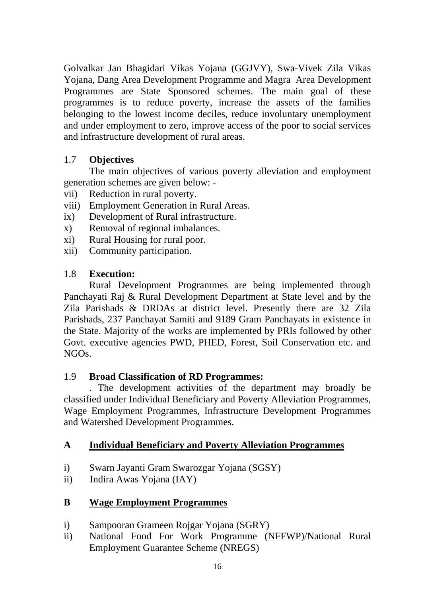Golvalkar Jan Bhagidari Vikas Yojana (GGJVY), Swa-Vivek Zila Vikas Yojana, Dang Area Development Programme and Magra Area Development Programmes are State Sponsored schemes. The main goal of these programmes is to reduce poverty, increase the assets of the families belonging to the lowest income deciles, reduce involuntary unemployment and under employment to zero, improve access of the poor to social services and infrastructure development of rural areas.

# 1.7 **Objectives**

 The main objectives of various poverty alleviation and employment generation schemes are given below: -

- vii) Reduction in rural poverty.
- viii) Employment Generation in Rural Areas.
- ix) Development of Rural infrastructure.
- x) Removal of regional imbalances.
- xi) Rural Housing for rural poor.
- xii) Community participation.

# 1.8 **Execution:**

Rural Development Programmes are being implemented through Panchayati Raj & Rural Development Department at State level and by the Zila Parishads & DRDAs at district level. Presently there are 32 Zila Parishads, 237 Panchayat Samiti and 9189 Gram Panchayats in existence in the State. Majority of the works are implemented by PRIs followed by other Govt. executive agencies PWD, PHED, Forest, Soil Conservation etc. and NGOs.

# 1.9 **Broad Classification of RD Programmes:**

. The development activities of the department may broadly be classified under Individual Beneficiary and Poverty Alleviation Programmes, Wage Employment Programmes, Infrastructure Development Programmes and Watershed Development Programmes.

# **A Individual Beneficiary and Poverty Alleviation Programmes**

- i) Swarn Jayanti Gram Swarozgar Yojana (SGSY)
- ii) Indira Awas Yojana (IAY)
- **B Wage Employment Programmes**
- i) Sampooran Grameen Rojgar Yojana (SGRY)
- ii) National Food For Work Programme (NFFWP)/National Rural Employment Guarantee Scheme (NREGS)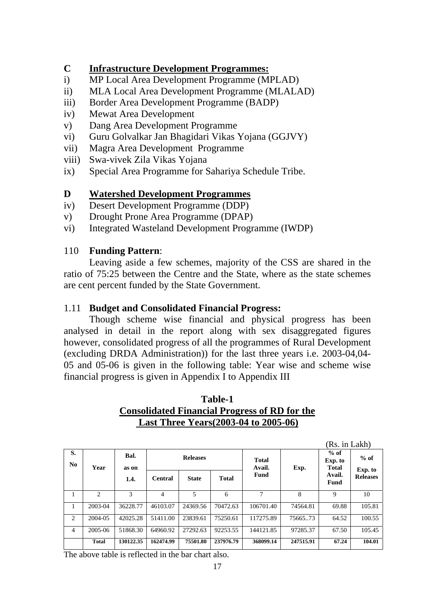# **C Infrastructure Development Programmes:**

- i) MP Local Area Development Programme (MPLAD)
- ii) MLA Local Area Development Programme (MLALAD)
- iii) Border Area Development Programme (BADP)
- iv) Mewat Area Development
- v) Dang Area Development Programme
- vi) Guru Golvalkar Jan Bhagidari Vikas Yojana (GGJVY)
- vii) Magra Area Development Programme
- viii) Swa-vivek Zila Vikas Yojana
- ix) Special Area Programme for Sahariya Schedule Tribe.

# **D Watershed Development Programmes**

- iv) Desert Development Programme (DDP)
- v) Drought Prone Area Programme (DPAP)
- vi) Integrated Wasteland Development Programme (IWDP)

# 110 **Funding Pattern**:

 Leaving aside a few schemes, majority of the CSS are shared in the ratio of 75:25 between the Centre and the State, where as the state schemes are cent percent funded by the State Government.

# 1.11 **Budget and Consolidated Financial Progress:**

 Though scheme wise financial and physical progress has been analysed in detail in the report along with sex disaggregated figures however, consolidated progress of all the programmes of Rural Development (excluding DRDA Administration)) for the last three years i.e. 2003-04,04- 05 and 05-06 is given in the following table: Year wise and scheme wise financial progress is given in Appendix I to Appendix III

# **Table-1 Consolidated Financial Progress of RD for the Last Three Years(2003-04 to 2005-06)**

|                      |                |                       | (Rs. in Lakh)   |              |              |                        |           |                                   |                   |
|----------------------|----------------|-----------------------|-----------------|--------------|--------------|------------------------|-----------|-----------------------------------|-------------------|
| S.<br>N <sub>0</sub> | Year           | Bal.<br>as on<br>1.4. | <b>Releases</b> |              |              | <b>Total</b><br>Avail. | Exp.      | $%$ of<br>Exp. to<br><b>Total</b> | $%$ of<br>Exp. to |
|                      |                |                       | <b>Central</b>  | <b>State</b> | <b>Total</b> | Fund                   |           | Avail.<br>Fund                    | <b>Releases</b>   |
| 1                    | $\mathfrak{D}$ | 3                     | 4               | 5            | 6            | 7                      | 8         | 9                                 | 10                |
| 1                    | 2003-04        | 36228.77              | 46103.07        | 24369.56     | 70472.63     | 106701.40              | 74564.81  | 69.88                             | 105.81            |
| 2                    | 2004-05        | 42025.28              | 51411.00        | 23839.61     | 75250.61     | 117275.89              | 7566573   | 64.52                             | 100.55            |
| 4                    | 2005-06        | 51868.30              | 64960.92        | 27292.63     | 92253.55     | 144121.85              | 97285.37  | 67.50                             | 105.45            |
|                      | <b>Total</b>   | 130122.35             | 162474.99       | 75501.80     | 237976.79    | 368099.14              | 247515.91 | 67.24                             | 104.01            |

The above table is reflected in the bar chart also.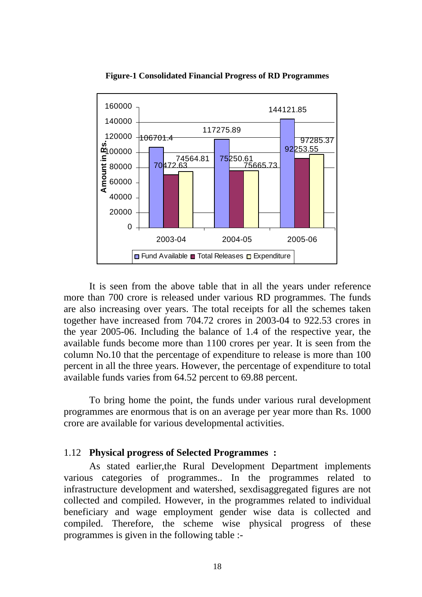

**Figure-1 Consolidated Financial Progress of RD Programmes** 

 It is seen from the above table that in all the years under reference more than 700 crore is released under various RD programmes. The funds are also increasing over years. The total receipts for all the schemes taken together have increased from 704.72 crores in 2003-04 to 922.53 crores in the year 2005-06. Including the balance of 1.4 of the respective year, the available funds become more than 1100 crores per year. It is seen from the column No.10 that the percentage of expenditure to release is more than 100 percent in all the three years. However, the percentage of expenditure to total available funds varies from 64.52 percent to 69.88 percent.

To bring home the point, the funds under various rural development programmes are enormous that is on an average per year more than Rs. 1000 crore are available for various developmental activities.

#### 1.12 **Physical progress of Selected Programmes :**

As stated earlier,the Rural Development Department implements various categories of programmes.. In the programmes related to infrastructure development and watershed, sexdisaggregated figures are not collected and compiled. However, in the programmes related to individual beneficiary and wage employment gender wise data is collected and compiled. Therefore, the scheme wise physical progress of these programmes is given in the following table :-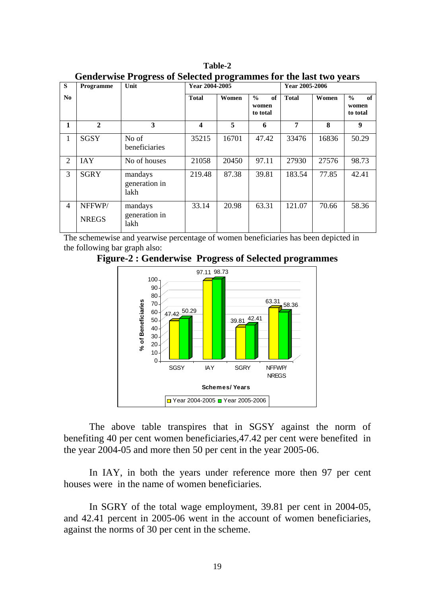| S              | Programme              | Unit                             | Year 2004-2005 |       |                                          |              | Year 2005-2006 |                                          |  |  |
|----------------|------------------------|----------------------------------|----------------|-------|------------------------------------------|--------------|----------------|------------------------------------------|--|--|
| No.            |                        |                                  | <b>Total</b>   | Women | of<br>$\frac{0}{0}$<br>women<br>to total | <b>Total</b> | Women          | $\frac{0}{0}$<br>of<br>women<br>to total |  |  |
| 1              | $\mathbf{2}$           | 3                                | 4              | 5     | 6                                        | 7            | 8              | 9                                        |  |  |
| 1              | <b>SGSY</b>            | No of<br>beneficiaries           | 35215          | 16701 | 47.42                                    | 33476        | 16836          | 50.29                                    |  |  |
| $\overline{2}$ | <b>IAY</b>             | No of houses                     | 21058          | 20450 | 97.11                                    | 27930        | 27576          | 98.73                                    |  |  |
| 3              | <b>SGRY</b>            | mandays<br>generation in<br>lakh | 219.48         | 87.38 | 39.81                                    | 183.54       | 77.85          | 42.41                                    |  |  |
| 4              | NFFWP/<br><b>NREGS</b> | mandays<br>generation in<br>lakh | 33.14          | 20.98 | 63.31                                    | 121.07       | 70.66          | 58.36                                    |  |  |

**Table-2 Genderwise Progress of Selected programmes for the last two years**

The schemewise and yearwise percentage of women beneficiaries has been depicted in the following bar graph also:





The above table transpires that in SGSY against the norm of benefiting 40 per cent women beneficiaries,47.42 per cent were benefited in the year 2004-05 and more then 50 per cent in the year 2005-06.

 In IAY, in both the years under reference more then 97 per cent houses were in the name of women beneficiaries.

 In SGRY of the total wage employment, 39.81 per cent in 2004-05, and 42.41 percent in 2005-06 went in the account of women beneficiaries, against the norms of 30 per cent in the scheme.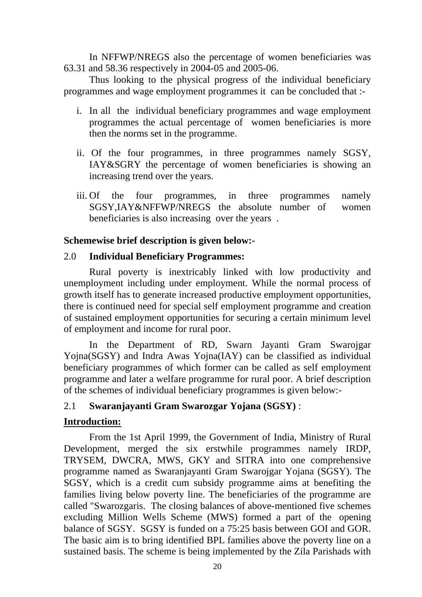In NFFWP/NREGS also the percentage of women beneficiaries was 63.31 and 58.36 respectively in 2004-05 and 2005-06.

 Thus looking to the physical progress of the individual beneficiary programmes and wage employment programmes it can be concluded that :-

- i. In all the individual beneficiary programmes and wage employment programmes the actual percentage of women beneficiaries is more then the norms set in the programme.
- ii. Of the four programmes, in three programmes namely SGSY, IAY&SGRY the percentage of women beneficiaries is showing an increasing trend over the years.
- iii. Of the four programmes, in three programmes namely SGSY,IAY&NFFWP/NREGS the absolute number of women beneficiaries is also increasing over the years .

#### **Schemewise brief description is given below:-**

#### 2.0 **Individual Beneficiary Programmes:**

 Rural poverty is inextricably linked with low productivity and unemployment including under employment. While the normal process of growth itself has to generate increased productive employment opportunities, there is continued need for special self employment programme and creation of sustained employment opportunities for securing a certain minimum level of employment and income for rural poor.

In the Department of RD, Swarn Jayanti Gram Swarojgar Yojna(SGSY) and Indra Awas Yojna(IAY) can be classified as individual beneficiary programmes of which former can be called as self employment programme and later a welfare programme for rural poor. A brief description of the schemes of individual beneficiary programmes is given below:-

# 2.1 **Swaranjayanti Gram Swarozgar Yojana (SGSY)** :

# **Introduction:**

From the 1st April 1999, the Government of India, Ministry of Rural Development, merged the six erstwhile programmes namely IRDP, TRYSEM, DWCRA, MWS, GKY and SITRA into one comprehensive programme named as Swaranjayanti Gram Swarojgar Yojana (SGSY). The SGSY, which is a credit cum subsidy programme aims at benefiting the families living below poverty line. The beneficiaries of the programme are called "Swarozgaris. The closing balances of above-mentioned five schemes excluding Million Wells Scheme (MWS) formed a part of the opening balance of SGSY. SGSY is funded on a 75:25 basis between GOI and GOR. The basic aim is to bring identified BPL families above the poverty line on a sustained basis. The scheme is being implemented by the Zila Parishads with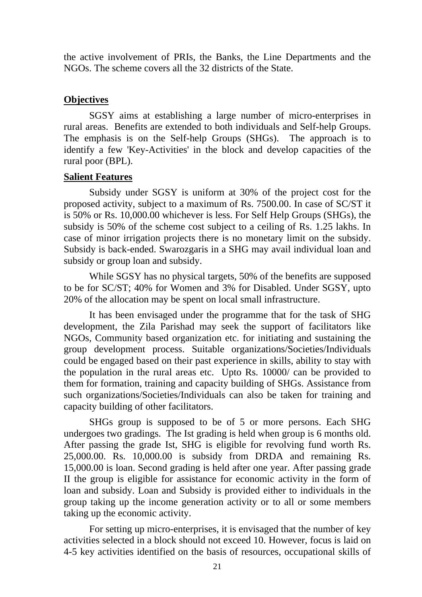the active involvement of PRIs, the Banks, the Line Departments and the NGOs. The scheme covers all the 32 districts of the State.

#### **Objectives**

 SGSY aims at establishing a large number of micro-enterprises in rural areas. Benefits are extended to both individuals and Self-help Groups. The emphasis is on the Self-help Groups (SHGs). The approach is to identify a few 'Key-Activities' in the block and develop capacities of the rural poor (BPL).

#### **Salient Features**

Subsidy under SGSY is uniform at 30% of the project cost for the proposed activity, subject to a maximum of Rs. 7500.00. In case of SC/ST it is 50% or Rs. 10,000.00 whichever is less. For Self Help Groups (SHGs), the subsidy is 50% of the scheme cost subject to a ceiling of Rs. 1.25 lakhs. In case of minor irrigation projects there is no monetary limit on the subsidy. Subsidy is back-ended. Swarozgaris in a SHG may avail individual loan and subsidy or group loan and subsidy.

 While SGSY has no physical targets, 50% of the benefits are supposed to be for SC/ST; 40% for Women and 3% for Disabled. Under SGSY, upto 20% of the allocation may be spent on local small infrastructure.

 It has been envisaged under the programme that for the task of SHG development, the Zila Parishad may seek the support of facilitators like NGOs, Community based organization etc. for initiating and sustaining the group development process. Suitable organizations/Societies/Individuals could be engaged based on their past experience in skills, ability to stay with the population in the rural areas etc. Upto Rs. 10000/ can be provided to them for formation, training and capacity building of SHGs. Assistance from such organizations/Societies/Individuals can also be taken for training and capacity building of other facilitators.

 SHGs group is supposed to be of 5 or more persons. Each SHG undergoes two gradings. The Ist grading is held when group is 6 months old. After passing the grade Ist, SHG is eligible for revolving fund worth Rs. 25,000.00. Rs. 10,000.00 is subsidy from DRDA and remaining Rs. 15,000.00 is loan. Second grading is held after one year. After passing grade II the group is eligible for assistance for economic activity in the form of loan and subsidy. Loan and Subsidy is provided either to individuals in the group taking up the income generation activity or to all or some members taking up the economic activity.

 For setting up micro-enterprises, it is envisaged that the number of key activities selected in a block should not exceed 10. However, focus is laid on 4-5 key activities identified on the basis of resources, occupational skills of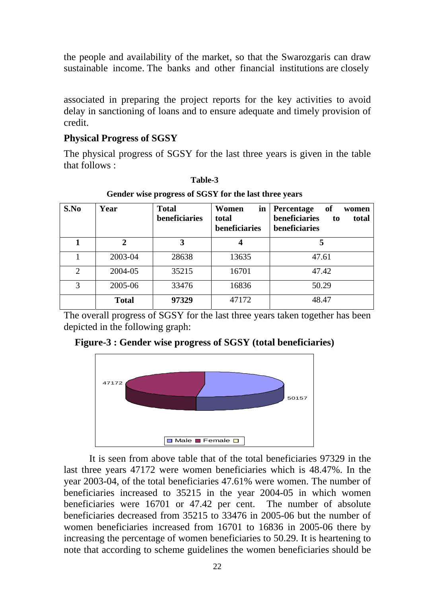the people and availability of the market, so that the Swarozgaris can draw sustainable income. The banks and other financial institutions are closely

 associated in preparing the project reports for the key activities to avoid delay in sanctioning of loans and to ensure adequate and timely provision of credit.

# **Physical Progress of SGSY**

 The physical progress of SGSY for the last three years is given in the table that follows :

| S.No           | Year                  | <b>Total</b><br>beneficiaries | Women<br>in<br>total<br>beneficiaries | of<br><b>Percentage</b><br>women<br>beneficiaries<br>total<br>to<br>beneficiaries |
|----------------|-----------------------|-------------------------------|---------------------------------------|-----------------------------------------------------------------------------------|
|                | $\mathcal{D}_{\cdot}$ | 3                             |                                       |                                                                                   |
|                | 2003-04               | 28638                         | 13635                                 | 47.61                                                                             |
| $\overline{2}$ | 2004-05               | 35215                         | 16701                                 | 47.42                                                                             |
| 3              | 2005-06               | 33476                         | 16836                                 | 50.29                                                                             |
|                | <b>Total</b>          | 97329                         | 47172                                 | 48.47                                                                             |

**Table-3** 

**Gender wise progress of SGSY for the last three years** 

 The overall progress of SGSY for the last three years taken together has been depicted in the following graph:

**Figure-3 : Gender wise progress of SGSY (total beneficiaries)**



 It is seen from above table that of the total beneficiaries 97329 in the last three years 47172 were women beneficiaries which is 48.47%. In the year 2003-04, of the total beneficiaries 47.61% were women. The number of beneficiaries increased to 35215 in the year 2004-05 in which women beneficiaries were 16701 or 47.42 per cent. The number of absolute beneficiaries decreased from 35215 to 33476 in 2005-06 but the number of women beneficiaries increased from 16701 to 16836 in 2005-06 there by increasing the percentage of women beneficiaries to 50.29. It is heartening to note that according to scheme guidelines the women beneficiaries should be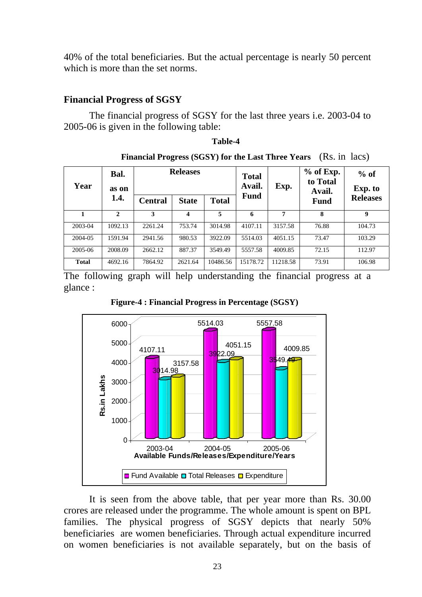40% of the total beneficiaries. But the actual percentage is nearly 50 percent which is more than the set norms.

#### **Financial Progress of SGSY**

 The financial progress of SGSY for the last three years i.e. 2003-04 to 2005-06 is given in the following table:

#### **Table-4**

|      |               |         |                 |              |                        |             |                                   | Philancial I rogiess (505 r) for the Last Three Tears (185, 11 Tacs) |                 |
|------|---------------|---------|-----------------|--------------|------------------------|-------------|-----------------------------------|----------------------------------------------------------------------|-----------------|
| Year | Bal.<br>as on |         | <b>Releases</b> |              | <b>Total</b><br>Avail. | Exp.        | $%$ of Exp.<br>to Total<br>Avail. | $%$ of<br>Exp. to                                                    |                 |
|      |               | 1.4.    | <b>Central</b>  | <b>State</b> | <b>Total</b>           | <b>Fund</b> |                                   | <b>Fund</b>                                                          | <b>Releases</b> |
|      |               | 2       | 3               |              | 5                      | 6           | 7                                 | 8                                                                    | 9               |
|      | 2003-04       | 1092.13 | 2261.24         | 753.74       | 3014.98                | 4107.11     | 3157.58                           | 76.88                                                                | 104.73          |
|      | 2004-05       | 1591.94 | 2941.56         | 980.53       | 3922.09                | 5514.03     | 4051.15                           | 73.47                                                                | 103.29          |
|      | 2005-06       | 2008.09 | 2662.12         | 887.37       | 3549.49                | 5557.58     | 4009.85                           | 72.15                                                                | 112.97          |

**Financial Progress (SCSV) for the Last Three Vears** *(Rs. in lacs)* 

The following graph will help understanding the financial progress at a glance :

**Total** 4692.16 7864.92 2621.64 10486.56 15178.72 11218.58 73.91 106.98

**Figure-4 : Financial Progress in Percentage (SGSY)**



 It is seen from the above table, that per year more than Rs. 30.00 crores are released under the programme. The whole amount is spent on BPL families. The physical progress of SGSY depicts that nearly 50% beneficiaries are women beneficiaries. Through actual expenditure incurred on women beneficiaries is not available separately, but on the basis of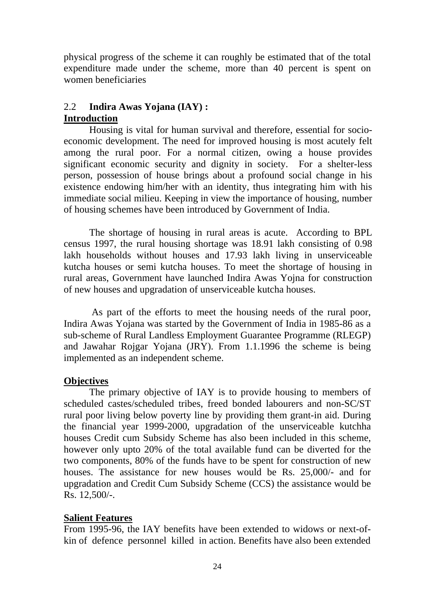physical progress of the scheme it can roughly be estimated that of the total expenditure made under the scheme, more than 40 percent is spent on women beneficiaries

# 2.2 **Indira Awas Yojana (IAY) : Introduction**

 Housing is vital for human survival and therefore, essential for socioeconomic development. The need for improved housing is most acutely felt among the rural poor. For a normal citizen, owing a house provides significant economic security and dignity in society. For a shelter-less person, possession of house brings about a profound social change in his existence endowing him/her with an identity, thus integrating him with his immediate social milieu. Keeping in view the importance of housing, number of housing schemes have been introduced by Government of India.

 The shortage of housing in rural areas is acute. According to BPL census 1997, the rural housing shortage was 18.91 lakh consisting of 0.98 lakh households without houses and 17.93 lakh living in unserviceable kutcha houses or semi kutcha houses. To meet the shortage of housing in rural areas, Government have launched Indira Awas Yojna for construction of new houses and upgradation of unserviceable kutcha houses.

 As part of the efforts to meet the housing needs of the rural poor, Indira Awas Yojana was started by the Government of India in 1985-86 as a sub-scheme of Rural Landless Employment Guarantee Programme (RLEGP) and Jawahar Rojgar Yojana (JRY). From 1.1.1996 the scheme is being implemented as an independent scheme.

# **Objectives**

The primary objective of IAY is to provide housing to members of scheduled castes/scheduled tribes, freed bonded labourers and non-SC/ST rural poor living below poverty line by providing them grant-in aid. During the financial year 1999-2000, upgradation of the unserviceable kutchha houses Credit cum Subsidy Scheme has also been included in this scheme, however only upto 20% of the total available fund can be diverted for the two components, 80% of the funds have to be spent for construction of new houses. The assistance for new houses would be Rs. 25,000/- and for upgradation and Credit Cum Subsidy Scheme (CCS) the assistance would be Rs. 12,500/-.

# **Salient Features**

From 1995-96, the IAY benefits have been extended to widows or next-ofkin of defence personnel killed in action. Benefits have also been extended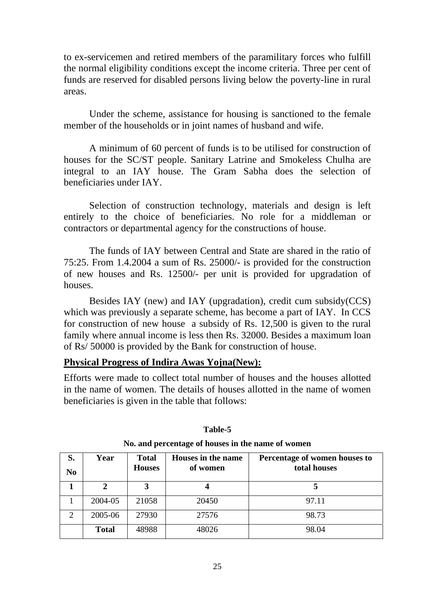to ex-servicemen and retired members of the paramilitary forces who fulfill the normal eligibility conditions except the income criteria. Three per cent of funds are reserved for disabled persons living below the poverty-line in rural areas.

Under the scheme, assistance for housing is sanctioned to the female member of the households or in joint names of husband and wife.

A minimum of 60 percent of funds is to be utilised for construction of houses for the SC/ST people. Sanitary Latrine and Smokeless Chulha are integral to an IAY house. The Gram Sabha does the selection of beneficiaries under IAY.

Selection of construction technology, materials and design is left entirely to the choice of beneficiaries. No role for a middleman or contractors or departmental agency for the constructions of house.

 The funds of IAY between Central and State are shared in the ratio of 75:25. From 1.4.2004 a sum of Rs. 25000/- is provided for the construction of new houses and Rs. 12500/- per unit is provided for upgradation of houses.

 Besides IAY (new) and IAY (upgradation), credit cum subsidy(CCS) which was previously a separate scheme, has become a part of IAY. In CCS for construction of new house a subsidy of Rs. 12,500 is given to the rural family where annual income is less then Rs. 32000. Besides a maximum loan of Rs/ 50000 is provided by the Bank for construction of house.

#### **Physical Progress of Indira Awas Yojna(New):**

Efforts were made to collect total number of houses and the houses allotted in the name of women. The details of houses allotted in the name of women beneficiaries is given in the table that follows:

| S.<br>N <sub>0</sub>        | Year         | <b>Total</b><br><b>Houses</b> | Houses in the name<br>of women | Percentage of women houses to<br>total houses |
|-----------------------------|--------------|-------------------------------|--------------------------------|-----------------------------------------------|
|                             | 2            | 3                             |                                |                                               |
|                             | 2004-05      | 21058                         | 20450                          | 97.11                                         |
| $\mathcal{D}_{\mathcal{L}}$ | 2005-06      | 27930                         | 27576                          | 98.73                                         |
|                             | <b>Total</b> | 48988                         | 48026                          | 98.04                                         |

#### **Table-5**

#### **No. and percentage of houses in the name of women**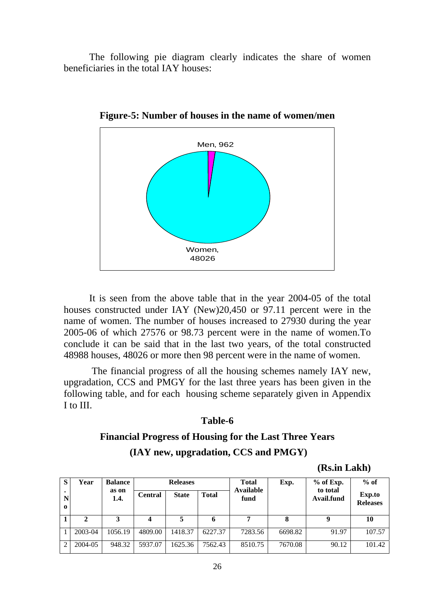The following pie diagram clearly indicates the share of women beneficiaries in the total IAY houses:



**Figure-5: Number of houses in the name of women/men** 

 It is seen from the above table that in the year 2004-05 of the total houses constructed under IAY (New)20,450 or 97.11 percent were in the name of women. The number of houses increased to 27930 during the year 2005-06 of which 27576 or 98.73 percent were in the name of women.To conclude it can be said that in the last two years, of the total constructed 48988 houses, 48026 or more then 98 percent were in the name of women.

 The financial progress of all the housing schemes namely IAY new, upgradation, CCS and PMGY for the last three years has been given in the following table, and for each housing scheme separately given in Appendix I to III.

#### **Table-6**

# **Financial Progress of Housing for the Last Three Years (IAY new, upgradation, CCS and PMGY)**

**(Rs.in Lakh)** 

| S        | Year    | <b>Balance</b> | <b>Releases</b> |              |              | <b>Total</b>      |         | $%$ of Exp.            | $%$ of          |
|----------|---------|----------------|-----------------|--------------|--------------|-------------------|---------|------------------------|-----------------|
| N        |         | as on<br>1.4.  | <b>Central</b>  | <b>State</b> | <b>Total</b> | Available<br>fund |         | to total<br>Avail.fund | Exp.to          |
| $\Omega$ |         |                |                 |              |              |                   |         |                        | <b>Releases</b> |
|          | 2       | 3              | 4               | 5            | 6            | 7                 | 8       |                        | 10              |
|          | 2003-04 | 1056.19        | 4809.00         | 1418.37      | 6227.37      | 7283.56           | 6698.82 | 91.97                  | 107.57          |
| ◠        | 2004-05 | 948.32         | 5937.07         | 1625.36      | 7562.43      | 8510.75           | 7670.08 | 90.12                  | 101.42          |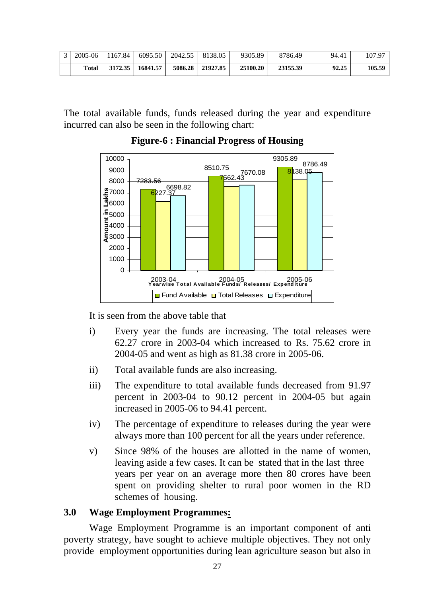| $\mathcal{E}$ | 2005-06      | 1167.84 | 6095.50  |         | 2042.55   8138.05 | 9305.89  | 8786.49  | 94.41 | 107.97 |
|---------------|--------------|---------|----------|---------|-------------------|----------|----------|-------|--------|
|               | <b>Total</b> | 3172.35 | 16841.57 | 5086.28 | 21927.85          | 25100.20 | 23155.39 | 92.25 | 105.59 |

The total available funds, funds released during the year and expenditure incurred can also be seen in the following chart:



**Figure-6 : Financial Progress of Housing** 

It is seen from the above table that

- i) Every year the funds are increasing. The total releases were 62.27 crore in 2003-04 which increased to Rs. 75.62 crore in 2004-05 and went as high as 81.38 crore in 2005-06.
- ii) Total available funds are also increasing.
- iii) The expenditure to total available funds decreased from 91.97 percent in 2003-04 to 90.12 percent in 2004-05 but again increased in 2005-06 to 94.41 percent.
- iv) The percentage of expenditure to releases during the year were always more than 100 percent for all the years under reference.
- v) Since 98% of the houses are allotted in the name of women, leaving aside a few cases. It can be stated that in the last three years per year on an average more then 80 crores have been spent on providing shelter to rural poor women in the RD schemes of housing.

# **3.0 Wage Employment Programmes:**

 Wage Employment Programme is an important component of anti poverty strategy, have sought to achieve multiple objectives. They not only provide employment opportunities during lean agriculture season but also in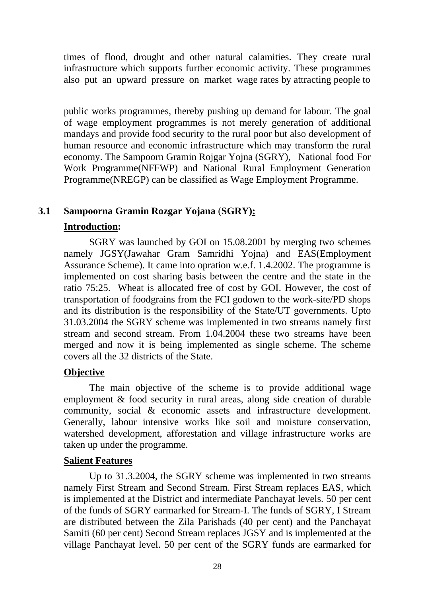times of flood, drought and other natural calamities. They create rural infrastructure which supports further economic activity. These programmes also put an upward pressure on market wage rates by attracting people to

 public works programmes, thereby pushing up demand for labour. The goal of wage employment programmes is not merely generation of additional mandays and provide food security to the rural poor but also development of human resource and economic infrastructure which may transform the rural economy. The Sampoorn Gramin Rojgar Yojna (SGRY), National food For Work Programme(NFFWP) and National Rural Employment Generation Programme(NREGP) can be classified as Wage Employment Programme.

# **3.1 Sampoorna Gramin Rozgar Yojana** (**SGRY):**

# **Introduction:**

SGRY was launched by GOI on 15.08.2001 by merging two schemes namely JGSY(Jawahar Gram Samridhi Yojna) and EAS(Employment Assurance Scheme). It came into opration w.e.f. 1.4.2002. The programme is implemented on cost sharing basis between the centre and the state in the ratio 75:25. Wheat is allocated free of cost by GOI. However, the cost of transportation of foodgrains from the FCI godown to the work-site/PD shops and its distribution is the responsibility of the State/UT governments. Upto 31.03.2004 the SGRY scheme was implemented in two streams namely first stream and second stream. From 1.04.2004 these two streams have been merged and now it is being implemented as single scheme. The scheme covers all the 32 districts of the State.

# **Objective**

 The main objective of the scheme is to provide additional wage employment & food security in rural areas, along side creation of durable community, social & economic assets and infrastructure development. Generally, labour intensive works like soil and moisture conservation, watershed development, afforestation and village infrastructure works are taken up under the programme.

# **Salient Features**

Up to 31.3.2004, the SGRY scheme was implemented in two streams namely First Stream and Second Stream. First Stream replaces EAS, which is implemented at the District and intermediate Panchayat levels. 50 per cent of the funds of SGRY earmarked for Stream-I. The funds of SGRY, I Stream are distributed between the Zila Parishads (40 per cent) and the Panchayat Samiti (60 per cent) Second Stream replaces JGSY and is implemented at the village Panchayat level. 50 per cent of the SGRY funds are earmarked for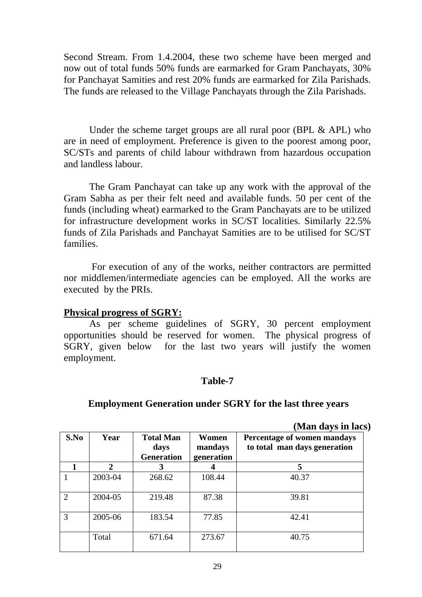Second Stream. From 1.4.2004, these two scheme have been merged and now out of total funds 50% funds are earmarked for Gram Panchayats, 30% for Panchayat Samities and rest 20% funds are earmarked for Zila Parishads. The funds are released to the Village Panchayats through the Zila Parishads.

Under the scheme target groups are all rural poor (BPL  $&$  APL) who are in need of employment. Preference is given to the poorest among poor, SC/STs and parents of child labour withdrawn from hazardous occupation and landless labour.

The Gram Panchayat can take up any work with the approval of the Gram Sabha as per their felt need and available funds. 50 per cent of the funds (including wheat) earmarked to the Gram Panchayats are to be utilized for infrastructure development works in SC/ST localities. Similarly 22.5% funds of Zila Parishads and Panchayat Samities are to be utilised for SC/ST families.

 For execution of any of the works, neither contractors are permitted nor middlemen/intermediate agencies can be employed. All the works are executed by the PRIs.

# **Physical progress of SGRY:**

 As per scheme guidelines of SGRY, 30 percent employment opportunities should be reserved for women. The physical progress of SGRY, given below for the last two years will justify the women employment.

#### **Table-7**

#### **Employment Generation under SGRY for the last three years**

**(Man days in lacs)** 

| S.No                        | Year         | <b>Total Man</b><br>days<br><b>Generation</b> | Percentage of women mandays<br>Women<br>to total man days generation<br>mandays<br>generation |       |  |  |
|-----------------------------|--------------|-----------------------------------------------|-----------------------------------------------------------------------------------------------|-------|--|--|
|                             | $\mathbf{2}$ | 3                                             | 4                                                                                             | 5     |  |  |
|                             | 2003-04      | 268.62                                        | 108.44                                                                                        | 40.37 |  |  |
| $\mathcal{D}_{\mathcal{L}}$ | 2004-05      | 219.48                                        | 87.38                                                                                         | 39.81 |  |  |
| 3                           | 2005-06      | 183.54                                        | 77.85                                                                                         | 42.41 |  |  |
|                             | Total        | 671.64                                        | 273.67                                                                                        | 40.75 |  |  |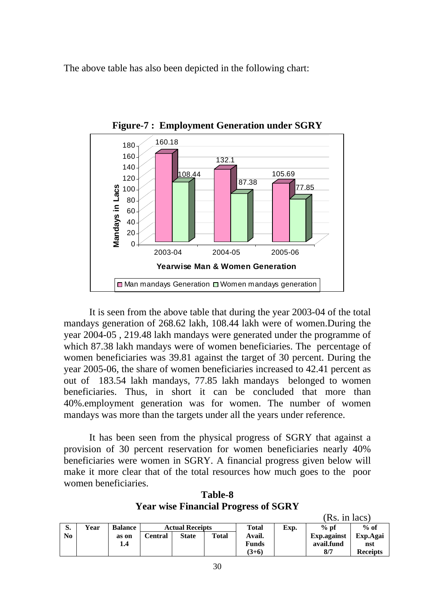The above table has also been depicted in the following chart:



**Figure-7 : Employment Generation under SGRY**

It is seen from the above table that during the year 2003-04 of the total mandays generation of 268.62 lakh, 108.44 lakh were of women.During the year 2004-05 , 219.48 lakh mandays were generated under the programme of which 87.38 lakh mandays were of women beneficiaries. The percentage of women beneficiaries was 39.81 against the target of 30 percent. During the year 2005-06, the share of women beneficiaries increased to 42.41 percent as out of 183.54 lakh mandays, 77.85 lakh mandays belonged to women beneficiaries. Thus, in short it can be concluded that more than 40%.employment generation was for women. The number of women mandays was more than the targets under all the years under reference.

 It has been seen from the physical progress of SGRY that against a provision of 30 percent reservation for women beneficiaries nearly 40% beneficiaries were women in SGRY. A financial progress given below will make it more clear that of the total resources how much goes to the poor women beneficiaries.

**Table-8 Year wise Financial Progress of SGRY** 

|    |      |                |                        |              |       |              |      | (Rs. in lacs) |                 |  |
|----|------|----------------|------------------------|--------------|-------|--------------|------|---------------|-----------------|--|
| S. | Year | <b>Balance</b> | <b>Actual Receipts</b> |              |       | Total        | Exp. | $%$ pf        | $%$ of          |  |
| No |      | as on          | Central                | <b>State</b> | Total | Avail.       |      | Exp. against  | Exp.Agai        |  |
|    |      | 1.4            |                        |              |       | <b>Funds</b> |      | avail.fund    | nst             |  |
|    |      |                |                        |              |       | $(3+6)$      |      | 8/7           | <b>Receipts</b> |  |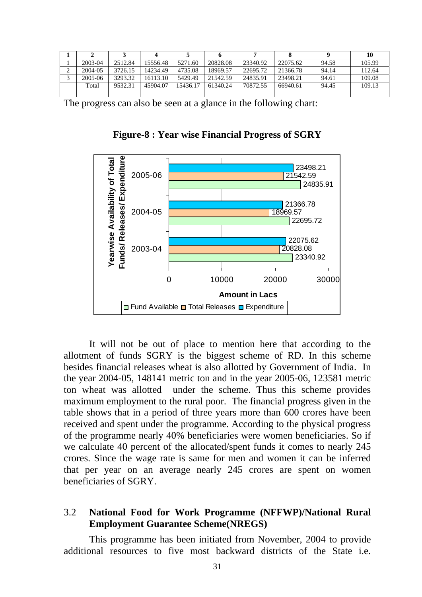|        |         |         |          |          |          |          |          |       | 10     |
|--------|---------|---------|----------|----------|----------|----------|----------|-------|--------|
|        | 2003-04 | 2512.84 | 15556.48 | 5271.60  | 20828.08 | 23340.92 | 22075.62 | 94.58 | 105.99 |
| ⌒<br>∠ | 2004-05 | 3726.15 | 14234.49 | 4735.08  | 18969.57 | 22695.72 | 21366.78 | 94.14 | 112.64 |
|        | 2005-06 | 3293.32 | 16113.10 | 5429.49  | 21542.59 | 24835.91 | 23498.21 | 94.61 | 109.08 |
|        | Total   | 9532.31 | 45904.07 | 15436.17 | 61340.24 | 70872.55 | 66940.61 | 94.45 | 109.13 |
|        |         |         |          |          |          |          |          |       |        |

The progress can also be seen at a glance in the following chart:

**Figure-8 : Year wise Financial Progress of SGRY** 



It will not be out of place to mention here that according to the allotment of funds SGRY is the biggest scheme of RD. In this scheme besides financial releases wheat is also allotted by Government of India. In the year 2004-05, 148141 metric ton and in the year 2005-06, 123581 metric ton wheat was allotted under the scheme. Thus this scheme provides maximum employment to the rural poor. The financial progress given in the table shows that in a period of three years more than 600 crores have been received and spent under the programme. According to the physical progress of the programme nearly 40% beneficiaries were women beneficiaries. So if we calculate 40 percent of the allocated/spent funds it comes to nearly 245 crores. Since the wage rate is same for men and women it can be inferred that per year on an average nearly 245 crores are spent on women beneficiaries of SGRY.

#### 3.2 **National Food for Work Programme (NFFWP)/National Rural Employment Guarantee Scheme(NREGS)**

 This programme has been initiated from November, 2004 to provide additional resources to five most backward districts of the State i.e.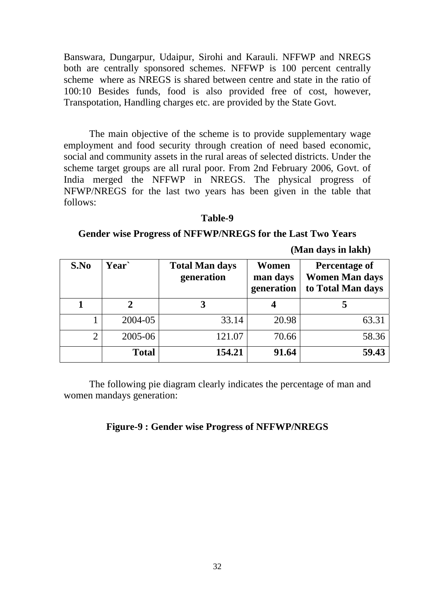Banswara, Dungarpur, Udaipur, Sirohi and Karauli. NFFWP and NREGS both are centrally sponsored schemes. NFFWP is 100 percent centrally scheme where as NREGS is shared between centre and state in the ratio of 100:10 Besides funds, food is also provided free of cost, however, Transpotation, Handling charges etc. are provided by the State Govt.

 The main objective of the scheme is to provide supplementary wage employment and food security through creation of need based economic, social and community assets in the rural areas of selected districts. Under the scheme target groups are all rural poor. From 2nd February 2006, Govt. of India merged the NFFWP in NREGS. The physical progress of NFWP/NREGS for the last two years has been given in the table that follows:

#### **Table-9**

#### **Gender wise Progress of NFFWP/NREGS for the Last Two Years**

 **(Man days in lakh)** 

| S.No           | Year`        | <b>Total Man days</b><br>generation | Women<br>man days<br>generation | <b>Percentage of</b><br><b>Women Man days</b><br>to Total Man days |  |
|----------------|--------------|-------------------------------------|---------------------------------|--------------------------------------------------------------------|--|
|                |              |                                     |                                 |                                                                    |  |
|                | 2004-05      | 33.14                               | 20.98                           | 63.31                                                              |  |
| $\overline{2}$ | 2005-06      | 121.07                              | 70.66                           | 58.36                                                              |  |
|                | <b>Total</b> | 154.21                              | 91.64                           | 59.43                                                              |  |

 The following pie diagram clearly indicates the percentage of man and women mandays generation:

#### **Figure-9 : Gender wise Progress of NFFWP/NREGS**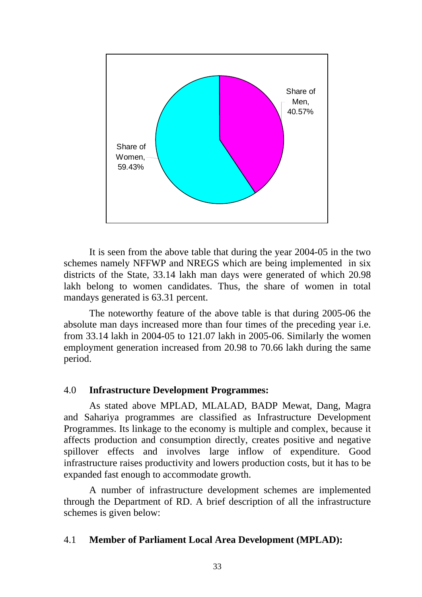

It is seen from the above table that during the year 2004-05 in the two schemes namely NFFWP and NREGS which are being implemented in six districts of the State, 33.14 lakh man days were generated of which 20.98 lakh belong to women candidates. Thus, the share of women in total mandays generated is 63.31 percent.

 The noteworthy feature of the above table is that during 2005-06 the absolute man days increased more than four times of the preceding year i.e. from 33.14 lakh in 2004-05 to 121.07 lakh in 2005-06. Similarly the women employment generation increased from 20.98 to 70.66 lakh during the same period.

#### 4.0 **Infrastructure Development Programmes:**

 As stated above MPLAD, MLALAD, BADP Mewat, Dang, Magra and Sahariya programmes are classified as Infrastructure Development Programmes. Its linkage to the economy is multiple and complex, because it affects production and consumption directly, creates positive and negative spillover effects and involves large inflow of expenditure. Good infrastructure raises productivity and lowers production costs, but it has to be expanded fast enough to accommodate growth.

 A number of infrastructure development schemes are implemented through the Department of RD. A brief description of all the infrastructure schemes is given below:

# 4.1 **Member of Parliament Local Area Development (MPLAD):**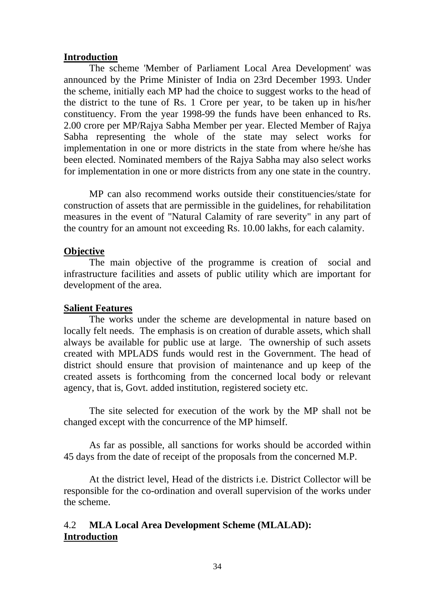#### **Introduction**

The scheme 'Member of Parliament Local Area Development' was announced by the Prime Minister of India on 23rd December 1993. Under the scheme, initially each MP had the choice to suggest works to the head of the district to the tune of Rs. 1 Crore per year, to be taken up in his/her constituency. From the year 1998-99 the funds have been enhanced to Rs. 2.00 crore per MP/Rajya Sabha Member per year. Elected Member of Rajya Sabha representing the whole of the state may select works for implementation in one or more districts in the state from where he/she has been elected. Nominated members of the Rajya Sabha may also select works for implementation in one or more districts from any one state in the country.

MP can also recommend works outside their constituencies/state for construction of assets that are permissible in the guidelines, for rehabilitation measures in the event of "Natural Calamity of rare severity" in any part of the country for an amount not exceeding Rs. 10.00 lakhs, for each calamity.

#### **Objective**

 The main objective of the programme is creation of social and infrastructure facilities and assets of public utility which are important for development of the area.

#### **Salient Features**

The works under the scheme are developmental in nature based on locally felt needs. The emphasis is on creation of durable assets, which shall always be available for public use at large. The ownership of such assets created with MPLADS funds would rest in the Government. The head of district should ensure that provision of maintenance and up keep of the created assets is forthcoming from the concerned local body or relevant agency, that is, Govt. added institution, registered society etc.

The site selected for execution of the work by the MP shall not be changed except with the concurrence of the MP himself.

As far as possible, all sanctions for works should be accorded within 45 days from the date of receipt of the proposals from the concerned M.P.

At the district level, Head of the districts i.e. District Collector will be responsible for the co-ordination and overall supervision of the works under the scheme.

# 4.2 **MLA Local Area Development Scheme (MLALAD): Introduction**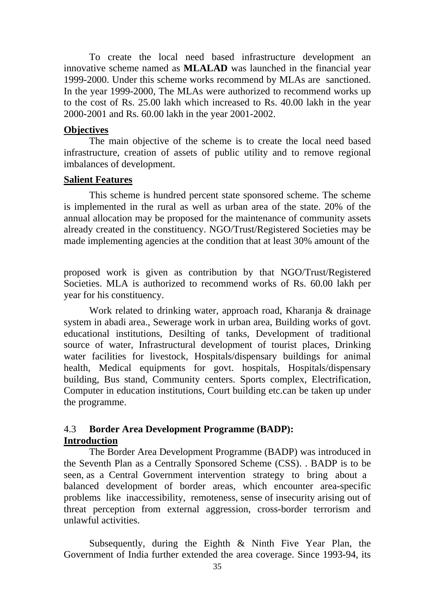To create the local need based infrastructure development an innovative scheme named as **MLALAD** was launched in the financial year 1999-2000. Under this scheme works recommend by MLAs are sanctioned. In the year 1999-2000, The MLAs were authorized to recommend works up to the cost of Rs. 25.00 lakh which increased to Rs. 40.00 lakh in the year 2000-2001 and Rs. 60.00 lakh in the year 2001-2002.

#### **Objectives**

 The main objective of the scheme is to create the local need based infrastructure, creation of assets of public utility and to remove regional imbalances of development.

#### **Salient Features**

 This scheme is hundred percent state sponsored scheme. The scheme is implemented in the rural as well as urban area of the state. 20% of the annual allocation may be proposed for the maintenance of community assets already created in the constituency. NGO/Trust/Registered Societies may be made implementing agencies at the condition that at least 30% amount of the

proposed work is given as contribution by that NGO/Trust/Registered Societies. MLA is authorized to recommend works of Rs. 60.00 lakh per year for his constituency.

 Work related to drinking water, approach road, Kharanja & drainage system in abadi area., Sewerage work in urban area, Building works of govt. educational institutions, Desilting of tanks, Development of traditional source of water, Infrastructural development of tourist places, Drinking water facilities for livestock, Hospitals/dispensary buildings for animal health, Medical equipments for govt. hospitals, Hospitals/dispensary building, Bus stand, Community centers. Sports complex, Electrification, Computer in education institutions, Court building etc.can be taken up under the programme.

# 4.3 **Border Area Development Programme (BADP): Introduction**

The Border Area Development Programme (BADP) was introduced in the Seventh Plan as a Centrally Sponsored Scheme (CSS). . BADP is to be seen, as a Central Government intervention strategy to bring about a balanced development of border areas, which encounter area-specific problems like inaccessibility, remoteness, sense of insecurity arising out of threat perception from external aggression, cross-border terrorism and unlawful activities.

Subsequently, during the Eighth & Ninth Five Year Plan, the Government of India further extended the area coverage. Since 1993-94, its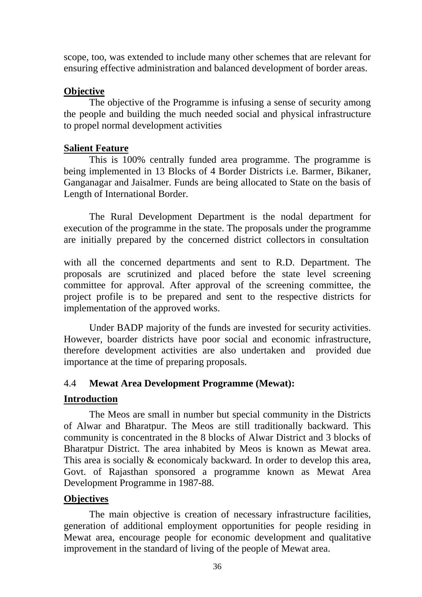scope, too, was extended to include many other schemes that are relevant for ensuring effective administration and balanced development of border areas.

#### **Objective**

The objective of the Programme is infusing a sense of security among the people and building the much needed social and physical infrastructure to propel normal development activities

# **Salient Feature**

This is 100% centrally funded area programme. The programme is being implemented in 13 Blocks of 4 Border Districts i.e. Barmer, Bikaner, Ganganagar and Jaisalmer. Funds are being allocated to State on the basis of Length of International Border.

The Rural Development Department is the nodal department for execution of the programme in the state. The proposals under the programme are initially prepared by the concerned district collectors in consultation

with all the concerned departments and sent to R.D. Department. The proposals are scrutinized and placed before the state level screening committee for approval. After approval of the screening committee, the project profile is to be prepared and sent to the respective districts for implementation of the approved works.

Under BADP majority of the funds are invested for security activities. However, boarder districts have poor social and economic infrastructure, therefore development activities are also undertaken and provided due importance at the time of preparing proposals.

# 4.4 **Mewat Area Development Programme (Mewat):**

# **Introduction**

 The Meos are small in number but special community in the Districts of Alwar and Bharatpur. The Meos are still traditionally backward. This community is concentrated in the 8 blocks of Alwar District and 3 blocks of Bharatpur District. The area inhabited by Meos is known as Mewat area. This area is socially & economicaly backward. In order to develop this area, Govt. of Rajasthan sponsored a programme known as Mewat Area Development Programme in 1987-88.

# **Objectives**

The main objective is creation of necessary infrastructure facilities, generation of additional employment opportunities for people residing in Mewat area, encourage people for economic development and qualitative improvement in the standard of living of the people of Mewat area.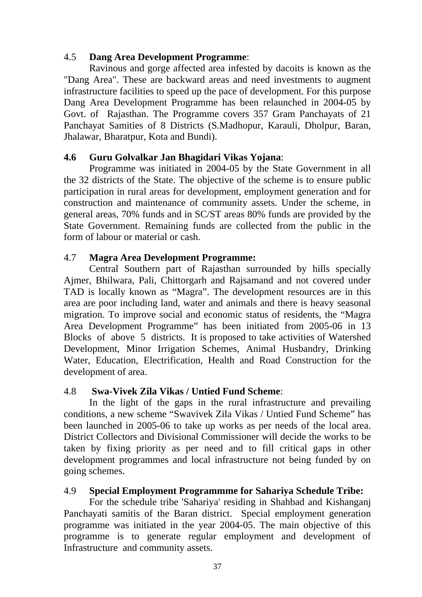# 4.5 **Dang Area Development Programme**:

 Ravinous and gorge affected area infested by dacoits is known as the "Dang Area". These are backward areas and need investments to augment infrastructure facilities to speed up the pace of development. For this purpose Dang Area Development Programme has been relaunched in 2004-05 by Govt. of Rajasthan. The Programme covers 357 Gram Panchayats of 21 Panchayat Samities of 8 Districts (S.Madhopur, Karauli, Dholpur, Baran, Jhalawar, Bharatpur, Kota and Bundi).

# **4.6 Guru Golvalkar Jan Bhagidari Vikas Yojana**:

 Programme was initiated in 2004-05 by the State Government in all the 32 districts of the State. The objective of the scheme is to ensure public participation in rural areas for development, employment generation and for construction and maintenance of community assets. Under the scheme, in general areas, 70% funds and in SC/ST areas 80% funds are provided by the State Government. Remaining funds are collected from the public in the form of labour or material or cash.

# 4.7 **Magra Area Development Programme:**

 Central Southern part of Rajasthan surrounded by hills specially Ajmer, Bhilwara, Pali, Chittorgarh and Rajsamand and not covered under TAD is locally known as "Magra". The development resources are in this area are poor including land, water and animals and there is heavy seasonal migration. To improve social and economic status of residents, the "Magra Area Development Programme" has been initiated from 2005-06 in 13 Blocks of above 5 districts. It is proposed to take activities of Watershed Development, Minor Irrigation Schemes, Animal Husbandry, Drinking Water, Education, Electrification, Health and Road Construction for the development of area.

# 4.8 **Swa-Vivek Zila Vikas / Untied Fund Scheme**:

 In the light of the gaps in the rural infrastructure and prevailing conditions, a new scheme "Swavivek Zila Vikas / Untied Fund Scheme" has been launched in 2005-06 to take up works as per needs of the local area. District Collectors and Divisional Commissioner will decide the works to be taken by fixing priority as per need and to fill critical gaps in other development programmes and local infrastructure not being funded by on going schemes.

# 4.9 **Special Employment Programmme for Sahariya Schedule Tribe:**

 For the schedule tribe 'Sahariya' residing in Shahbad and Kishanganj Panchayati samitis of the Baran district. Special employment generation programme was initiated in the year 2004-05. The main objective of this programme is to generate regular employment and development of Infrastructure and community assets.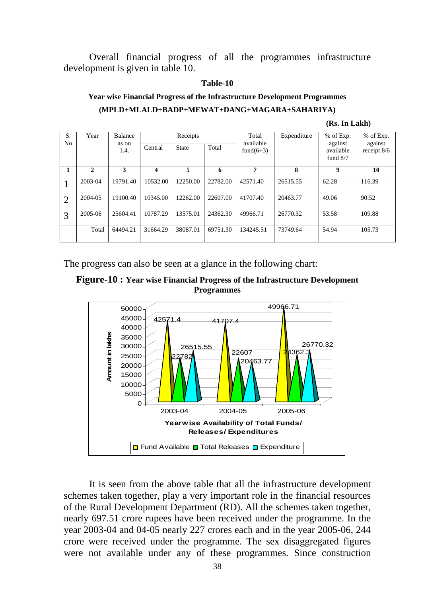Overall financial progress of all the programmes infrastructure development is given in table 10.

#### **Table-10**

#### **Year wise Financial Progress of the Infrastructure Development Programmes (MPLD+MLALD+BADP+MEWAT+DANG+MAGARA+SAHARIYA)**

#### **(Rs. In Lakh)**

| S. | Year         | Balance       | Receipts |          |          | Total<br>available | Expenditure | % of Exp.                          | % of Exp.                |
|----|--------------|---------------|----------|----------|----------|--------------------|-------------|------------------------------------|--------------------------|
| No |              | as on<br>1.4. | Central  | State    | Total    | fund $(6+3)$       |             | against<br>available<br>fund $8/7$ | against<br>receipt $8/6$ |
|    | $\mathbf{2}$ | 3             | 4        | 5        | 6        | 7                  | 8           | 9                                  | 10                       |
|    | 2003-04      | 19791.40      | 10532.00 | 12250.00 | 22782.00 | 42571.40           | 26515.55    | 62.28                              | 116.39                   |
| ∍  | 2004-05      | 19100.40      | 10345.00 | 12262.00 | 22607.00 | 41707.40           | 20463.77    | 49.06                              | 90.52                    |
| 3  | 2005-06      | 25604.41      | 10787.29 | 13575.01 | 24362.30 | 49966.71           | 26770.32    | 53.58                              | 109.88                   |
|    | Total        | 64494.21      | 31664.29 | 38087.01 | 69751.30 | 134245.51          | 73749.64    | 54.94                              | 105.73                   |

The progress can also be seen at a glance in the following chart:





 It is seen from the above table that all the infrastructure development schemes taken together, play a very important role in the financial resources of the Rural Development Department (RD). All the schemes taken together, nearly 697.51 crore rupees have been received under the programme. In the year 2003-04 and 04-05 nearly 227 crores each and in the year 2005-06, 244 crore were received under the programme. The sex disaggregated figures were not available under any of these programmes. Since construction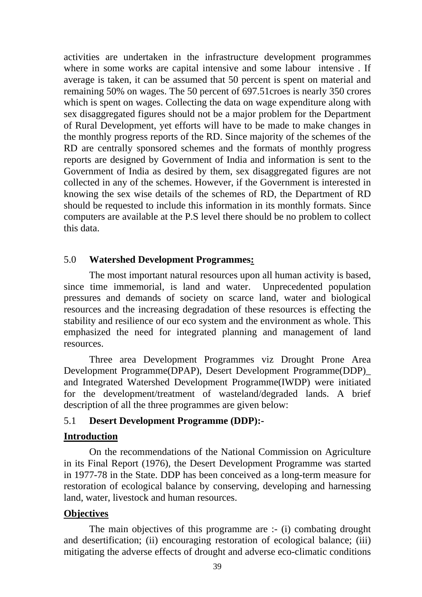activities are undertaken in the infrastructure development programmes where in some works are capital intensive and some labour intensive . If average is taken, it can be assumed that 50 percent is spent on material and remaining 50% on wages. The 50 percent of 697.51croes is nearly 350 crores which is spent on wages. Collecting the data on wage expenditure along with sex disaggregated figures should not be a major problem for the Department of Rural Development, yet efforts will have to be made to make changes in the monthly progress reports of the RD. Since majority of the schemes of the RD are centrally sponsored schemes and the formats of monthly progress reports are designed by Government of India and information is sent to the Government of India as desired by them, sex disaggregated figures are not collected in any of the schemes. However, if the Government is interested in knowing the sex wise details of the schemes of RD, the Department of RD should be requested to include this information in its monthly formats. Since computers are available at the P.S level there should be no problem to collect this data.

#### 5.0 **Watershed Development Programmes:**

 The most important natural resources upon all human activity is based, since time immemorial, is land and water. Unprecedented population pressures and demands of society on scarce land, water and biological resources and the increasing degradation of these resources is effecting the stability and resilience of our eco system and the environment as whole. This emphasized the need for integrated planning and management of land resources.

 Three area Development Programmes viz Drought Prone Area Development Programme(DPAP), Desert Development Programme(DDP)\_ and Integrated Watershed Development Programme(IWDP) were initiated for the development/treatment of wasteland/degraded lands. A brief description of all the three programmes are given below:

#### 5.1 **Desert Development Programme (DDP):-**

#### **Introduction**

 On the recommendations of the National Commission on Agriculture in its Final Report (1976), the Desert Development Programme was started in 1977-78 in the State. DDP has been conceived as a long-term measure for restoration of ecological balance by conserving, developing and harnessing land, water, livestock and human resources.

#### **Objectives**

 The main objectives of this programme are :- (i) combating drought and desertification; (ii) encouraging restoration of ecological balance; (iii) mitigating the adverse effects of drought and adverse eco-climatic conditions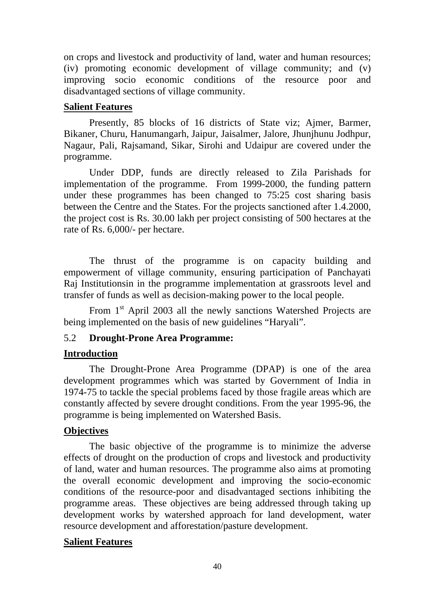on crops and livestock and productivity of land, water and human resources; (iv) promoting economic development of village community; and (v) improving socio economic conditions of the resource poor and disadvantaged sections of village community.

#### **Salient Features**

 Presently, 85 blocks of 16 districts of State viz; Ajmer, Barmer, Bikaner, Churu, Hanumangarh, Jaipur, Jaisalmer, Jalore, Jhunjhunu Jodhpur, Nagaur, Pali, Rajsamand, Sikar, Sirohi and Udaipur are covered under the programme.

 Under DDP, funds are directly released to Zila Parishads for implementation of the programme. From 1999-2000, the funding pattern under these programmes has been changed to 75:25 cost sharing basis between the Centre and the States. For the projects sanctioned after 1.4.2000, the project cost is Rs. 30.00 lakh per project consisting of 500 hectares at the rate of Rs. 6,000/- per hectare.

 The thrust of the programme is on capacity building and empowerment of village community, ensuring participation of Panchayati Raj Institutionsin in the programme implementation at grassroots level and transfer of funds as well as decision-making power to the local people.

From 1<sup>st</sup> April 2003 all the newly sanctions Watershed Projects are being implemented on the basis of new guidelines "Haryali".

# 5.2 **Drought-Prone Area Programme:**

# **Introduction**

 The Drought-Prone Area Programme (DPAP) is one of the area development programmes which was started by Government of India in 1974-75 to tackle the special problems faced by those fragile areas which are constantly affected by severe drought conditions. From the year 1995-96, the programme is being implemented on Watershed Basis.

# **Objectives**

 The basic objective of the programme is to minimize the adverse effects of drought on the production of crops and livestock and productivity of land, water and human resources. The programme also aims at promoting the overall economic development and improving the socio-economic conditions of the resource-poor and disadvantaged sections inhibiting the programme areas. These objectives are being addressed through taking up development works by watershed approach for land development, water resource development and afforestation/pasture development.

#### **Salient Features**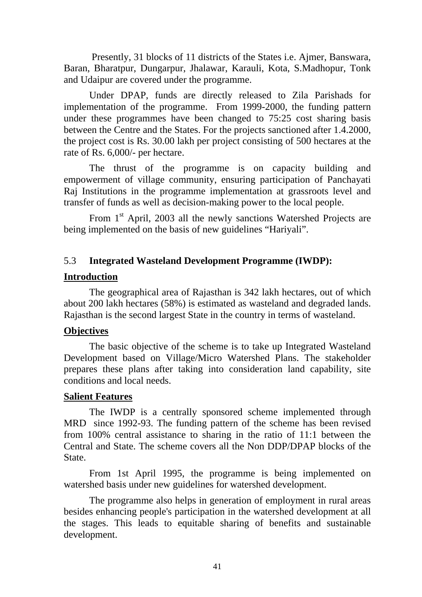Presently, 31 blocks of 11 districts of the States i.e. Ajmer, Banswara, Baran, Bharatpur, Dungarpur, Jhalawar, Karauli, Kota, S.Madhopur, Tonk and Udaipur are covered under the programme.

 Under DPAP, funds are directly released to Zila Parishads for implementation of the programme. From 1999-2000, the funding pattern under these programmes have been changed to 75:25 cost sharing basis between the Centre and the States. For the projects sanctioned after 1.4.2000, the project cost is Rs. 30.00 lakh per project consisting of 500 hectares at the rate of Rs. 6,000/- per hectare.

 The thrust of the programme is on capacity building and empowerment of village community, ensuring participation of Panchayati Raj Institutions in the programme implementation at grassroots level and transfer of funds as well as decision-making power to the local people.

From 1<sup>st</sup> April, 2003 all the newly sanctions Watershed Projects are being implemented on the basis of new guidelines "Hariyali".

# 5.3 **Integrated Wasteland Development Programme (IWDP):**

# **Introduction**

The geographical area of Rajasthan is 342 lakh hectares, out of which about 200 lakh hectares (58%) is estimated as wasteland and degraded lands. Rajasthan is the second largest State in the country in terms of wasteland.

# **Objectives**

 The basic objective of the scheme is to take up Integrated Wasteland Development based on Village/Micro Watershed Plans. The stakeholder prepares these plans after taking into consideration land capability, site conditions and local needs.

#### **Salient Features**

 The IWDP is a centrally sponsored scheme implemented through MRD since 1992-93. The funding pattern of the scheme has been revised from 100% central assistance to sharing in the ratio of 11:1 between the Central and State. The scheme covers all the Non DDP/DPAP blocks of the State.

 From 1st April 1995, the programme is being implemented on watershed basis under new guidelines for watershed development.

The programme also helps in generation of employment in rural areas besides enhancing people's participation in the watershed development at all the stages. This leads to equitable sharing of benefits and sustainable development.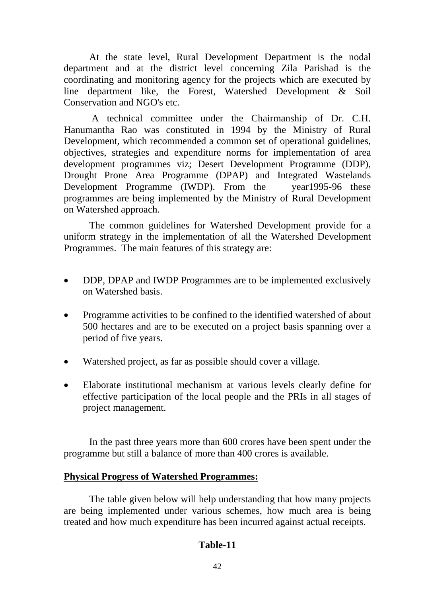At the state level, Rural Development Department is the nodal department and at the district level concerning Zila Parishad is the coordinating and monitoring agency for the projects which are executed by line department like, the Forest, Watershed Development & Soil Conservation and NGO's etc.

 A technical committee under the Chairmanship of Dr. C.H. Hanumantha Rao was constituted in 1994 by the Ministry of Rural Development, which recommended a common set of operational guidelines, objectives, strategies and expenditure norms for implementation of area development programmes viz; Desert Development Programme (DDP), Drought Prone Area Programme (DPAP) and Integrated Wastelands Development Programme (IWDP). From the year1995-96 these programmes are being implemented by the Ministry of Rural Development on Watershed approach.

 The common guidelines for Watershed Development provide for a uniform strategy in the implementation of all the Watershed Development Programmes. The main features of this strategy are:

- DDP, DPAP and IWDP Programmes are to be implemented exclusively on Watershed basis.
- Programme activities to be confined to the identified watershed of about 500 hectares and are to be executed on a project basis spanning over a period of five years.
- Watershed project, as far as possible should cover a village.
- Elaborate institutional mechanism at various levels clearly define for effective participation of the local people and the PRIs in all stages of project management.

 In the past three years more than 600 crores have been spent under the programme but still a balance of more than 400 crores is available.

#### **Physical Progress of Watershed Programmes:**

 The table given below will help understanding that how many projects are being implemented under various schemes, how much area is being treated and how much expenditure has been incurred against actual receipts.

#### **Table-11**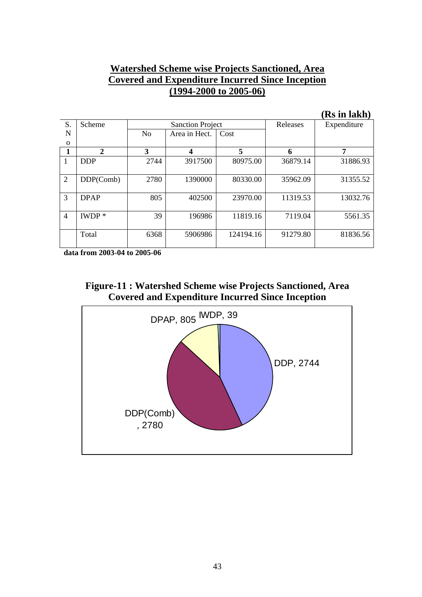# **Watershed Scheme wise Projects Sanctioned, Area Covered and Expenditure Incurred Since Inception (1994-2000 to 2005-06)**

|                |             |                |                         |           |          | (Rs in lakh) |
|----------------|-------------|----------------|-------------------------|-----------|----------|--------------|
| S.             | Scheme      |                | <b>Sanction Project</b> |           | Releases | Expenditure  |
| N              |             | N <sub>o</sub> | Area in Hect.           | Cost      |          |              |
| $\Omega$       |             |                |                         |           |          |              |
|                | 2           | 3              | $\boldsymbol{4}$        | 5         | 6        | 7            |
| 1              | <b>DDP</b>  | 2744           | 3917500                 | 80975.00  | 36879.14 | 31886.93     |
| $\overline{2}$ | DDP(Comb)   | 2780           | 1390000                 | 80330.00  | 35962.09 | 31355.52     |
| 3              | <b>DPAP</b> | 805            | 402500                  | 23970.00  | 11319.53 | 13032.76     |
| $\overline{4}$ | $IWDP*$     | 39             | 196986                  | 11819.16  | 7119.04  | 5561.35      |
|                | Total       | 6368           | 5906986                 | 124194.16 | 91279.80 | 81836.56     |

**data from 2003-04 to 2005-06** 

**Figure-11 : Watershed Scheme wise Projects Sanctioned, Area Covered and Expenditure Incurred Since Inception** 



43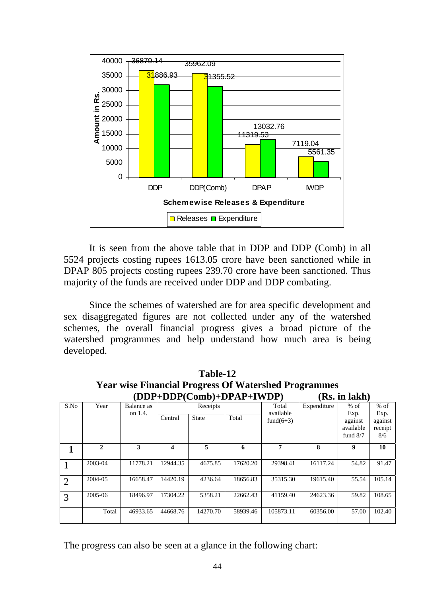

 It is seen from the above table that in DDP and DDP (Comb) in all 5524 projects costing rupees 1613.05 crore have been sanctioned while in DPAP 805 projects costing rupees 239.70 crore have been sanctioned. Thus majority of the funds are received under DDP and DDP combating.

 Since the schemes of watershed are for area specific development and sex disaggregated figures are not collected under any of the watershed schemes, the overall financial progress gives a broad picture of the watershed programmes and help understand how much area is being developed.

|                | (DDP+DDP(C0MD)+DPAP+IWDP)<br><b>KS. IN JAKN</b> |            |          |              |          |              |             |            |         |  |  |  |  |  |
|----------------|-------------------------------------------------|------------|----------|--------------|----------|--------------|-------------|------------|---------|--|--|--|--|--|
| S.No           | Year                                            | Balance as |          | Receipts     |          | Total        | Expenditure | $%$ of     | $%$ of  |  |  |  |  |  |
|                |                                                 | on 1.4.    |          |              | Total    | available    |             | Exp.       | Exp.    |  |  |  |  |  |
|                |                                                 |            | Central  | <b>State</b> |          | fund $(6+3)$ |             | against    | against |  |  |  |  |  |
|                |                                                 |            |          |              |          |              |             | available  | receipt |  |  |  |  |  |
|                |                                                 |            |          |              |          |              |             | fund $8/7$ | 8/6     |  |  |  |  |  |
|                | $\mathbf{2}$                                    | 3          | 4        | 5            | 6        | 7            | 8           | 9          | 10      |  |  |  |  |  |
|                | 2003-04                                         | 11778.21   | 12944.35 | 4675.85      | 17620.20 | 29398.41     | 16117.24    | 54.82      | 91.47   |  |  |  |  |  |
| $\overline{2}$ | 2004-05                                         | 16658.47   | 14420.19 | 4236.64      | 18656.83 | 35315.30     | 19615.40    | 55.54      | 105.14  |  |  |  |  |  |
| 3              | 2005-06                                         | 18496.97   | 17304.22 | 5358.21      | 22662.43 | 41159.40     | 24623.36    | 59.82      | 108.65  |  |  |  |  |  |
|                | Total                                           | 46933.65   | 44668.76 | 14270.70     | 58939.46 | 105873.11    | 60356.00    | 57.00      | 102.40  |  |  |  |  |  |

**Table-12 Year wise Financial Progress Of Watershed Programmes (DDP+DDP(Comb)+DPAP+IWDP) (Rs. in lakh)** 

The progress can also be seen at a glance in the following chart: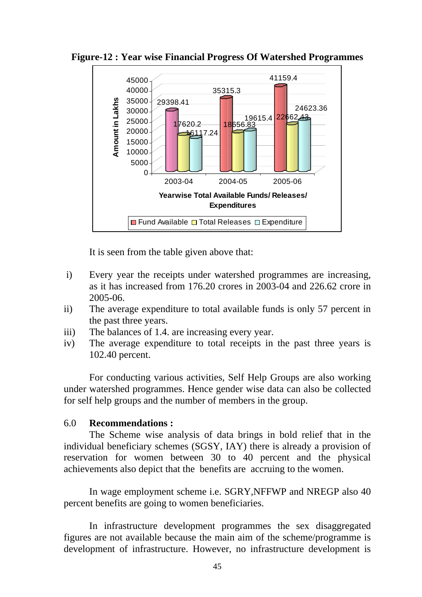

**Figure-12 : Year wise Financial Progress Of Watershed Programmes** 

It is seen from the table given above that:

- i) Every year the receipts under watershed programmes are increasing, as it has increased from 176.20 crores in 2003-04 and 226.62 crore in 2005-06.
- ii) The average expenditure to total available funds is only 57 percent in the past three years.
- iii) The balances of 1.4. are increasing every year.
- iv) The average expenditure to total receipts in the past three years is 102.40 percent.

 For conducting various activities, Self Help Groups are also working under watershed programmes. Hence gender wise data can also be collected for self help groups and the number of members in the group.

# 6.0 **Recommendations :**

 The Scheme wise analysis of data brings in bold relief that in the individual beneficiary schemes (SGSY, IAY) there is already a provision of reservation for women between 30 to 40 percent and the physical achievements also depict that the benefits are accruing to the women.

 In wage employment scheme i.e. SGRY,NFFWP and NREGP also 40 percent benefits are going to women beneficiaries.

 In infrastructure development programmes the sex disaggregated figures are not available because the main aim of the scheme/programme is development of infrastructure. However, no infrastructure development is